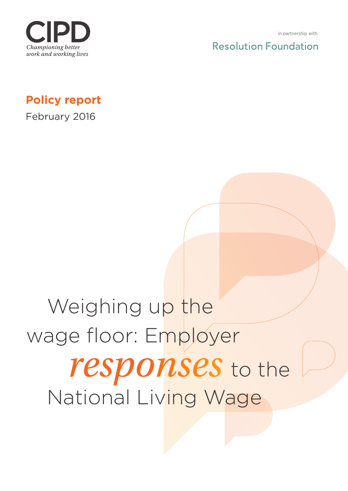

**Resolution Foundation** 

**Policy report**

February 2016

# Weighing up the wage floor: Employer *responses* to the National Living Wage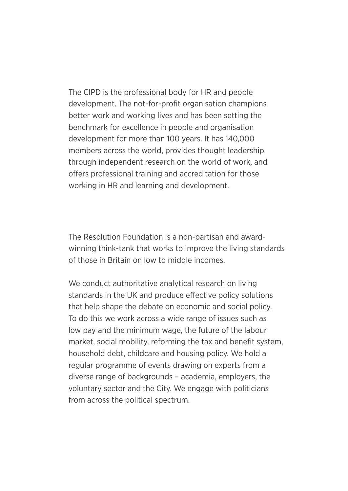The CIPD is the professional body for HR and people development. The not-for-profit organisation champions better work and working lives and has been setting the benchmark for excellence in people and organisation development for more than 100 years. It has 140,000 members across the world, provides thought leadership through independent research on the world of work, and offers professional training and accreditation for those working in HR and learning and development.

The Resolution Foundation is a non-partisan and awardwinning think-tank that works to improve the living standards of those in Britain on low to middle incomes.

We conduct authoritative analytical research on living standards in the UK and produce effective policy solutions that help shape the debate on economic and social policy. To do this we work across a wide range of issues such as low pay and the minimum wage, the future of the labour market, social mobility, reforming the tax and benefit system, household debt, childcare and housing policy. We hold a regular programme of events drawing on experts from a diverse range of backgrounds – academia, employers, the voluntary sector and the City. We engage with politicians from across the political spectrum.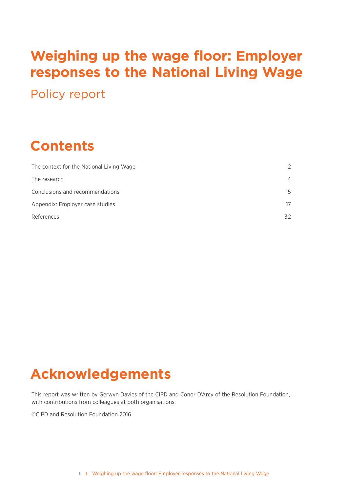# **Weighing up the wage floor: Employer responses to the National Living Wage**

Policy report

# **Contents**

| $\mathcal{P}$  |
|----------------|
| $\overline{4}$ |
| 15             |
| 17             |
| 32             |
|                |

# **Acknowledgements**

This report was written by Gerwyn Davies of the CIPD and Conor D'Arcy of the Resolution Foundation, with contributions from colleagues at both organisations.

©CIPD and Resolution Foundation 2016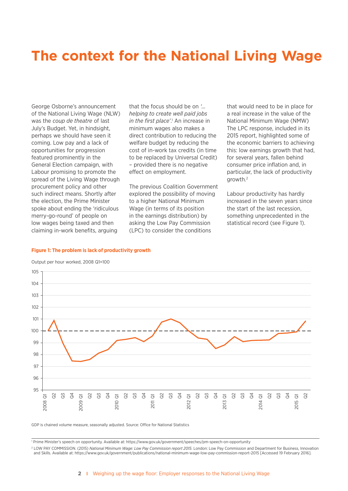# **The context for the National Living Wage**

George Osborne's announcement of the National Living Wage (NLW) was the *coup de theatre* of last July's Budget. Yet, in hindsight, perhaps we should have seen it coming. Low pay and a lack of opportunities for progression featured prominently in the General Election campaign, with Labour promising to promote the spread of the Living Wage through procurement policy and other such indirect means. Shortly after the election, the Prime Minister spoke about ending the 'ridiculous merry-go-round' of people on low wages being taxed and then claiming in-work benefits, arguing

that the focus should be on *'… helping to create well paid jobs*  in the first place'.<sup>1</sup> An increase in minimum wages also makes a direct contribution to reducing the welfare budget by reducing the cost of in-work tax credits (in time to be replaced by Universal Credit) – provided there is no negative effect on employment.

The previous Coalition Government explored the possibility of moving to a higher National Minimum Wage (in terms of its position in the earnings distribution) by asking the Low Pay Commission (LPC) to consider the conditions

that would need to be in place for a real increase in the value of the National Minimum Wage (NMW) The LPC response, included in its 2015 report, highlighted some of the economic barriers to achieving this: low earnings growth that had, for several years, fallen behind consumer price inflation and, in particular, the lack of productivity growth.2

Labour productivity has hardly increased in the seven years since the start of the last recession, something unprecedented in the statistical record (see Figure 1).

#### **Figure 1: The problem is lack of productivity growth**



Output per hour worked, 2008 Q1=100

GDP is chained volume measure, seasonally adjusted. Source: Office for National Statistics

<sup>1</sup> Prime Minister's speech on opportunity. Available at: https://www.gov.uk/government/speeches/pm-speech-on-opportunity

<sup>2</sup> LOW PAY COMMISSION. (2015) *National Minimum Wage: Low Pay Commission report 2015*. London: Low Pay Commission and Department for Business, Innovation and Skills. Available at: https://www.gov.uk/government/publications/national-minimum-wage-low-pay-commission-report-2015 [Accessed 19 February 2016].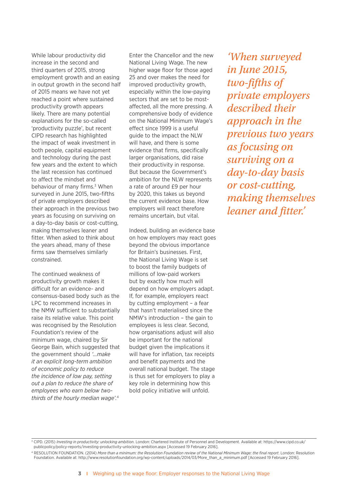While labour productivity did increase in the second and third quarters of 2015, strong employment growth and an easing in output growth in the second half of 2015 means we have not yet reached a point where sustained productivity growth appears likely. There are many potential explanations for the so-called 'productivity puzzle', but recent CIPD research has highlighted the impact of weak investment in both people, capital equipment and technology during the past few years and the extent to which the last recession has continued to affect the mindset and behaviour of many firms.<sup>3</sup> When surveyed in June 2015, two-fifths of private employers described their approach in the previous two years as focusing on surviving on a day-to-day basis or cost-cutting, making themselves leaner and fitter. When asked to think about the years ahead, many of these firms saw themselves similarly constrained.

The continued weakness of productivity growth makes it difficult for an evidence- and consensus-based body such as the LPC to recommend increases in the NMW sufficient to substantially raise its relative value. This point was recognised by the Resolution Foundation's review of the minimum wage, chaired by Sir George Bain, which suggested that the government should *'…make it an explicit long-term ambition of economic policy to reduce the incidence of low pay, setting out a plan to reduce the share of employees who earn below twothirds of the hourly median wage'.*<sup>4</sup>

Enter the Chancellor and the new National Living Wage. The new higher wage floor for those aged 25 and over makes the need for improved productivity growth, especially within the low-paying sectors that are set to be mostaffected, all the more pressing. A comprehensive body of evidence on the National Minimum Wage's effect since 1999 is a useful guide to the impact the NLW will have, and there is some evidence that firms, specifically larger organisations, did raise their productivity in response. But because the Government's ambition for the NLW represents a rate of around £9 per hour by 2020, this takes us beyond the current evidence base. How employers will react therefore remains uncertain, but vital.

Indeed, building an evidence base on how employers may react goes beyond the obvious importance for Britain's businesses. First, the National Living Wage is set to boost the family budgets of millions of low-paid workers but by exactly how much will depend on how employers adapt. If, for example, employers react by cutting employment – a fear that hasn't materialised since the NMW's introduction – the gain to employees is less clear. Second, how organisations adjust will also be important for the national budget given the implications it will have for inflation, tax receipts and benefit payments and the overall national budget. The stage is thus set for employers to play a key role in determining how this bold policy initiative will unfold.

*'When surveyed in June 2015, two-fifths of private employers described their approach in the previous two years as focusing on surviving on a day-to-day basis or cost-cutting, making themselves leaner and fitter.'* 

<sup>3</sup> CIPD. (2015) *Investing in productivity: unlocking ambition*. London: Chartered Institute of Personnel and Development. Available at: https://www.cipd.co.uk/ publicpolicy/policy-reports/investing-productivity-unlocking-ambition.aspx [Accessed 19 February 2016].

<sup>4</sup> RESOLUTION FOUNDATION. (2014) *More than a minimum: the Resolution Foundation review of the National Minimum Wage: the final report*. London: Resolution Foundation. Available at: http://www.resolutionfoundation.org/wp-content/uploads/2014/03/More\_than\_a\_minimum.pdf [Accessed 19 February 2016].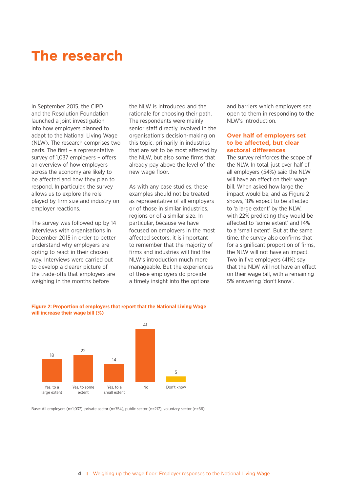## **The research**

In September 2015, the CIPD and the Resolution Foundation launched a joint investigation into how employers planned to adapt to the National Living Wage (NLW). The research comprises two parts. The first – a representative survey of 1,037 employers – offers an overview of how employers across the economy are likely to be affected and how they plan to respond. In particular, the survey allows us to explore the role played by firm size and industry on employer reactions.

The survey was followed up by 14 interviews with organisations in December 2015 in order to better understand why employers are opting to react in their chosen way. Interviews were carried out to develop a clearer picture of the trade-offs that employers are weighing in the months before

the NLW is introduced and the rationale for choosing their path. The respondents were mainly senior staff directly involved in the organisation's decision-making on this topic, primarily in industries that are set to be most affected by the NLW, but also some firms that already pay above the level of the new wage floor.

As with any case studies, these examples should not be treated as representative of all employers or of those in similar industries, regions or of a similar size. In particular, because we have focused on employers in the most affected sectors, it is important to remember that the majority of firms and industries will find the NLW's introduction much more manageable. But the experiences of these employers do provide a timely insight into the options

and barriers which employers see open to them in responding to the NLW's introduction.

#### **Over half of employers set to be affected, but clear sectoral differences**

The survey reinforces the scope of the NLW. In total, just over half of all employers (54%) said the NLW will have an effect on their wage bill. When asked how large the impact would be, and as Figure 2 shows, 18% expect to be affected to 'a large extent' by the NLW, with 22% predicting they would be affected to 'some extent' and 14% to a 'small extent'. But at the same time, the survey also confirms that for a significant proportion of firms, the NLW will not have an impact. Two in five employers (41%) say that the NLW will not have an effect on their wage bill, with a remaining 5% answering 'don't know'.



**Figure 2: Proportion of employers that report that the National Living Wage will increase their wage bill (%)**

Base: All employers (n=1,037), private sector (n=754), public sector (n=217), voluntary sector (n=66)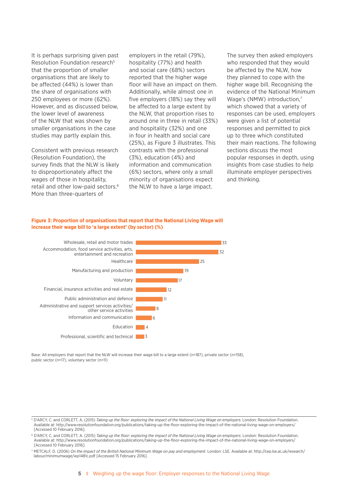It is perhaps surprising given past Resolution Foundation research<sup>5</sup> that the proportion of smaller organisations that are likely to be affected (44%) is lower than the share of organisations with 250 employees or more (62%). However, and as discussed below, the lower level of awareness of the NLW that was shown by smaller organisations in the case studies may partly explain this.

Consistent with previous research (Resolution Foundation), the survey finds that the NLW is likely to disproportionately affect the wages of those in hospitality, retail and other low-paid sectors.<sup>6</sup> More than three-quarters of

employers in the retail (79%), hospitality (77%) and health and social care (68%) sectors reported that the higher wage floor will have an impact on them. Additionally, while almost one in five employers (18%) say they will be affected to a large extent by the NLW, that proportion rises to around one in three in retail (33%) and hospitality (32%) and one in four in health and social care (25%), as Figure 3 illustrates. This contrasts with the professional (3%), education (4%) and information and communication (6%) sectors, where only a small minority of organisations expect the NLW to have a large impact.

The survey then asked employers who responded that they would be affected by the NLW, how they planned to cope with the higher wage bill. Recognising the evidence of the National Minimum Wage's (NMW) introduction,7 which showed that a variety of responses can be used, employers were given a list of potential responses and permitted to pick up to three which constituted their main reactions. The following sections discuss the most popular responses in depth, using insights from case studies to help illuminate employer perspectives and thinking.

#### **Figure 3: Proportion of organisations that report that the National Living Wage will increase their wage bill to 'a large extent' (by sector) (%)**



Base: All employers that report that the NLW will increase their wage bill to a large extent (n=187), private sector (n=158), public sector (n=17), voluntary sector (n=11)

<sup>&</sup>lt;sup>5</sup> D'ARCY, C. and CORLETT, A. (2015) *Taking up the floor: exploring the impact of the National Living Wage on employers. London: Resolution Foundation.* Available at: http://www.resolutionfoundation.org/publications/taking-up-the-floor-exploring-the-impact-of-the-national-living-wage-on-employers/ [Accessed 10 February 2016].

<sup>6</sup> D'ARCY, C. and CORLETT, A. (2015) *Taking up the floor: exploring the impact of the National Living Wage on employers.* London: Resolution Foundation. Available at: http://www.resolutionfoundation.org/publications/taking-up-the-floor-exploring-the-impact-of-the-national-living-wage-on-employers/ [Accessed 10 February 2016].

<sup>7</sup> METCALF, D. (2006) *On the impact of the British National Minimum Wage on pay and employment.* London: LSE. Available at: http://cep.lse.ac.uk/research/ labour/minimumwage/wp1481c.pdf [Accessed 15 February 2016].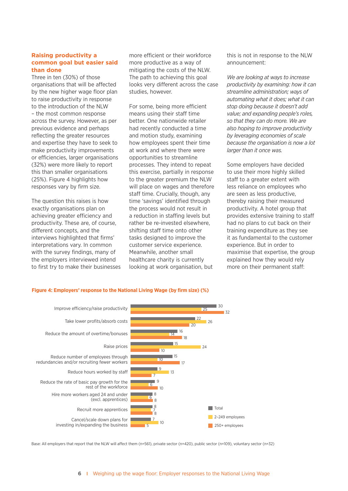#### **Raising productivity a common goal but easier said than done**

Three in ten (30%) of those organisations that will be affected by the new higher wage floor plan to raise productivity in response to the introduction of the NLW – the most common response across the survey. However, as per previous evidence and perhaps reflecting the greater resources and expertise they have to seek to make productivity improvements or efficiencies, larger organisations (32%) were more likely to report this than smaller organisations (25%). Figure 4 highlights how responses vary by firm size.

The question this raises is how exactly organisations plan on achieving greater efficiency and productivity. These are, of course, different concepts, and the interviews highlighted that firms' interpretations vary. In common with the survey findings, many of the employers interviewed intend to first try to make their businesses more efficient or their workforce more productive as a way of mitigating the costs of the NLW. The path to achieving this goal looks very different across the case studies, however.

For some, being more efficient means using their staff time better. One nationwide retailer had recently conducted a time and motion study, examining how employees spent their time at work and where there were opportunities to streamline processes. They intend to repeat this exercise, partially in response to the greater premium the NLW will place on wages and therefore staff time. Crucially, though, any time 'savings' identified through the process would not result in a reduction in staffing levels but rather be re-invested elsewhere, shifting staff time onto other tasks designed to improve the customer service experience. Meanwhile, another small healthcare charity is currently looking at work organisation, but

this is not in response to the NLW announcement:

*We are looking at ways to increase productivity by examining: how it can streamline administration; ways of automating what it does; what it can stop doing because it doesn't add value; and expanding people's roles, so that they can do more. We are also hoping to improve productivity by leveraging economies of scale because the organisation is now a lot larger than it once was.*

Some employers have decided to use their more highly skilled staff to a greater extent with less reliance on employees who are seen as less productive, thereby raising their measured productivity. A hotel group that provides extensive training to staff had no plans to cut back on their training expenditure as they see it as fundamental to the customer experience. But in order to maximise that expertise, the group explained how they would rely more on their permanent staff:



#### **Figure 4: Employers' response to the National Living Wage (by firm size) (%)**

Base: All employers that report that the NLW will affect them (n=561), private sector (n=420), public sector (n=109), voluntary sector (n=32)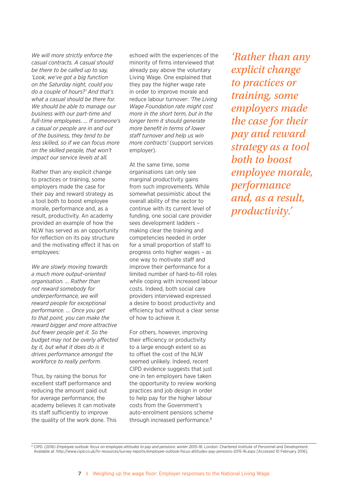*We will more strictly enforce the casual contracts. A casual should be there to be called up to say, 'Look, we've got a big function on the Saturday night, could you do a couple of hours?' And that's what a casual should be there for. We should be able to manage our business with our part-time and full-time employees. … If someone's a casual or people are in and out of the business, they tend to be less skilled, so if we can focus more on the skilled people, that won't impact our service levels at all.*

Rather than any explicit change to practices or training, some employers made the case for their pay and reward strategy as a tool both to boost employee morale, performance and, as a result, productivity. An academy provided an example of how the NLW has served as an opportunity for reflection on its pay structure and the motivating effect it has on employees:

*We are slowly moving towards a much more output-oriented organisation. … Rather than not reward somebody for underperformance, we will reward people for exceptional performance. … Once you get to that point, you can make the reward bigger and more attractive but fewer people get it. So the budget may not be overly affected by it, but what it does do is it drives performance amongst the workforce to really perform.*

Thus, by raising the bonus for excellent staff performance and reducing the amount paid out for average performance, the academy believes it can motivate its staff sufficiently to improve the quality of the work done. This

echoed with the experiences of the minority of firms interviewed that already pay above the voluntary Living Wage. One explained that they pay the higher wage rate in order to improve morale and reduce labour turnover: *'The Living Wage Foundation rate might cost more in the short term, but in the longer term it should generate more benefit in terms of lower staff turnover and help us win more contracts'* (support services employer).

At the same time, some organisations can only see marginal productivity gains from such improvements. While somewhat pessimistic about the overall ability of the sector to continue with its current level of funding, one social care provider sees development ladders – making clear the training and competencies needed in order for a small proportion of staff to progress onto higher wages – as one way to motivate staff and improve their performance for a limited number of hard-to-fill roles while coping with increased labour costs. Indeed, both social care providers interviewed expressed a desire to boost productivity and efficiency but without a clear sense of how to achieve it.

For others, however, improving their efficiency or productivity to a large enough extent so as to offset the cost of the NLW seemed unlikely. Indeed, recent CIPD evidence suggests that just one in ten employers have taken the opportunity to review working practices and job design in order to help pay for the higher labour costs from the Government's auto-enrolment pensions scheme through increased performance.<sup>8</sup>

*'Rather than any explicit change to practices or training, some employers made the case for their pay and reward strategy as a tool both to boost employee morale, performance and, as a result, productivity.'* 

<sup>8</sup> CIPD. (2016) *Employee outlook: focus on employee attitudes to pay and pensions: winter 2015-16. London: Chartered Institute of Personnel and Development.* Available at: http://www.cipd.co.uk/hr-resources/survey-reports/employee-outlook-focus-attitudes-pay-pensions-2015-16.aspx [Accessed 10 February 2016].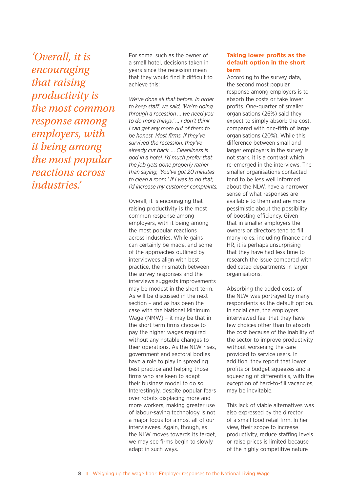*'Overall, it is encouraging that raising productivity is the most common response among employers, with it being among the most popular reactions across industries.'* 

For some, such as the owner of a small hotel, decisions taken in years since the recession mean that they would find it difficult to achieve this:

*We've done all that before. In order to keep staff, we said, 'We're going through a recession … we need you to do more things.' … I don't think I can get any more out of them to be honest. Most firms, if they've survived the recession, they've already cut back. … Cleanliness is god in a hotel. I'd much prefer that the job gets done properly rather than saying, 'You've got 20 minutes to clean a room.' If I was to do that, I'd increase my customer complaints.*

Overall, it is encouraging that raising productivity is the most common response among employers, with it being among the most popular reactions across industries. While gains can certainly be made, and some of the approaches outlined by interviewees align with best practice, the mismatch between the survey responses and the interviews suggests improvements may be modest in the short term. As will be discussed in the next section – and as has been the case with the National Minimum Wage (NMW) – it may be that in the short term firms choose to pay the higher wages required without any notable changes to their operations. As the NLW rises, government and sectoral bodies have a role to play in spreading best practice and helping those firms who are keen to adapt their business model to do so. Interestingly, despite popular fears over robots displacing more and more workers, making greater use of labour-saving technology is not a major focus for almost all of our interviewees. Again, though, as the NLW moves towards its target, we may see firms begin to slowly adapt in such ways.

#### **Taking lower profits as the default option in the short term**

According to the survey data, the second most popular response among employers is to absorb the costs or take lower profits. One-quarter of smaller organisations (26%) said they expect to simply absorb the cost, compared with one-fifth of large organisations (20%). While this difference between small and larger employers in the survey is not stark, it is a contrast which re-emerged in the interviews. The smaller organisations contacted tend to be less well informed about the NLW, have a narrower sense of what responses are available to them and are more pessimistic about the possibility of boosting efficiency. Given that in smaller employers the owners or directors tend to fill many roles, including finance and HR, it is perhaps unsurprising that they have had less time to research the issue compared with dedicated departments in larger organisations.

Absorbing the added costs of the NLW was portrayed by many respondents as the default option. In social care, the employers interviewed feel that they have few choices other than to absorb the cost because of the inability of the sector to improve productivity without worsening the care provided to service users. In addition, they report that lower profits or budget squeezes and a squeezing of differentials, with the exception of hard-to-fill vacancies, may be inevitable.

This lack of viable alternatives was also expressed by the director of a small food retail firm. In her view, their scope to increase productivity, reduce staffing levels or raise prices is limited because of the highly competitive nature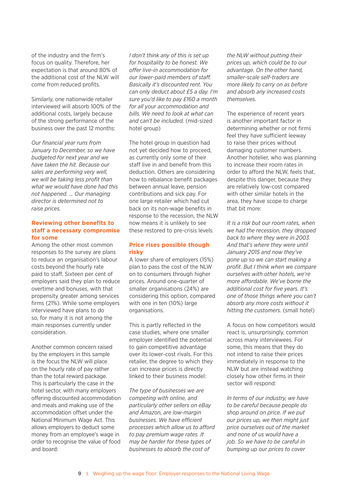of the industry and the firm's focus on quality. Therefore, her expectation is that around 80% of the additional cost of the NLW will come from reduced profits.

Similarly, one nationwide retailer interviewed will absorb 100% of the additional costs, largely because of the strong performance of the business over the past 12 months:

*Our financial year runs from January to December, so we have budgeted for next year and we have taken the hit. Because our sales are performing very well, we will be taking less profit than what we would have done had this not happened. … Our managing director is determined not to raise prices.*

#### **Reviewing other benefits to staff a necessary compromise for some**

Among the other most common responses to the survey are plans to reduce an organisation's labour costs beyond the hourly rate paid to staff. Sixteen per cent of employers said they plan to reduce overtime and bonuses, with that propensity greater among services firms (21%). While some employers interviewed have plans to do so, for many it is not among the main responses currently under consideration.

Another common concern raised by the employers in this sample is the focus the NLW will place on the hourly rate of pay rather than the total reward package. This is particularly the case in the hotel sector, with many employers offering discounted accommodation and meals and making use of the accommodation offset under the National Minimum Wage Act. This allows employers to deduct some money from an employee's wage in order to recognise the value of food and board:

*I don't think any of this is set up for hospitality to be honest. We offer live-in accommodation for our lower-paid members of staff. Basically it's discounted rent. You can only deduct about £5 a day. I'm sure you'd like to pay £160 a month for all your accommodation and bills. We need to look at what can and can't be included.* (mid-sized hotel group)

The hotel group in question had not yet decided how to proceed, as currently only some of their staff live in and benefit from this deduction. Others are considering how to rebalance benefit packages between annual leave, pension contributions and sick pay. For one large retailer which had cut back on its non-wage benefits in response to the recession, the NLW now means it is unlikely to see these restored to pre-crisis levels.

#### **Price rises possible though risky**

A lower share of employers (15%) plan to pass the cost of the NLW on to consumers through higher prices. Around one-quarter of smaller organisations (24%) are considering this option, compared with one in ten (10%) large organisations.

This is partly reflected in the case studies, where one smaller employer identified the potential to gain competitive advantage over its lower-cost rivals. For this retailer, the degree to which they can increase prices is directly linked to their business model:

*The type of businesses we are competing with online, and particularly other sellers on eBay and Amazon, are low-margin businesses. We have efficient processes which allow us to afford to pay premium wage rates. It may be harder for these types of businesses to absorb the cost of* 

*the NLW without putting their prices up, which could be to our advantage. On the other hand, smaller-scale self-traders are more likely to carry on as before and absorb any increased costs themselves.*

The experience of recent years is another important factor in determining whether or not firms feel they have sufficient leeway to raise their prices without damaging customer numbers. Another hotelier, who was planning to increase their room rates in order to afford the NLW, feels that, despite this danger, because they are relatively low-cost compared with other similar hotels in the area, they have scope to charge that bit more:

*It is a risk but our room rates, when we had the recession, they dropped back to where they were in 2003. And that's where they were until January 2015 and now they've gone up so we can start making a profit. But I think when we compare ourselves with other hotels, we're more affordable. We've borne the additional cost for five years. It's one of those things where you can't absorb any more costs without it hitting the customers.* (small hotel)

A focus on how competitors would react is, unsurprisingly, common across many interviewees. For some, this means that they do not intend to raise their prices immediately in response to the NLW but are instead watching closely how other firms in their sector will respond:

*In terms of our industry, we have to be careful because people do shop around on price. If we put our prices up, we then might just price ourselves out of the market and none of us would have a job. So we have to be careful in bumping up our prices to cover*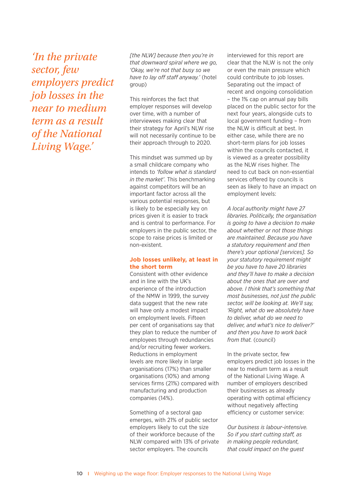*'In the private sector, few employers predict job losses in the near to medium term as a result of the National Living Wage.'* 

*[the NLW] because then you're in that downward spiral where we go, 'Okay, we're not that busy so we have to lay off staff anyway.'* (hotel group)

This reinforces the fact that employer responses will develop over time, with a number of interviewees making clear that their strategy for April's NLW rise will not necessarily continue to be their approach through to 2020.

This mindset was summed up by a small childcare company who intends to *'follow what is standard in the market'*. This benchmarking against competitors will be an important factor across all the various potential responses, but is likely to be especially key on prices given it is easier to track and is central to performance. For employers in the public sector, the scope to raise prices is limited or non-existent.

#### **Job losses unlikely, at least in the short term**

Consistent with other evidence and in line with the UK's experience of the introduction of the NMW in 1999, the survey data suggest that the new rate will have only a modest impact on employment levels. Fifteen per cent of organisations say that they plan to reduce the number of employees through redundancies and/or recruiting fewer workers. Reductions in employment levels are more likely in large organisations (17%) than smaller organisations (10%) and among services firms (21%) compared with manufacturing and production companies (14%).

Something of a sectoral gap emerges, with 21% of public sector employers likely to cut the size of their workforce because of the NLW compared with 13% of private sector employers. The councils

interviewed for this report are clear that the NLW is not the only or even the main pressure which could contribute to job losses. Separating out the impact of recent and ongoing consolidation – the 1% cap on annual pay bills placed on the public sector for the next four years, alongside cuts to local government funding – from the NLW is difficult at best. In either case, while there are no short-term plans for job losses within the councils contacted, it is viewed as a greater possibility as the NLW rises higher. The need to cut back on non-essential services offered by councils is seen as likely to have an impact on employment levels:

*A local authority might have 27 libraries. Politically, the organisation is going to have a decision to make about whether or not those things are maintained. Because you have a statutory requirement and then there's your optional [services]. So your statutory requirement might be you have to have 20 libraries and they'll have to make a decision about the ones that are over and above. I think that's something that most businesses, not just the public sector, will be looking at. We'll say, 'Right, what do we absolutely have to deliver, what do we need to deliver, and what's nice to deliver?' and then you have to work back from that.* (council)

In the private sector, few employers predict job losses in the near to medium term as a result of the National Living Wage. A number of employers described their businesses as already operating with optimal efficiency without negatively affecting efficiency or customer service:

*Our business is labour-intensive. So if you start cutting staff, as in making people redundant, that could impact on the guest*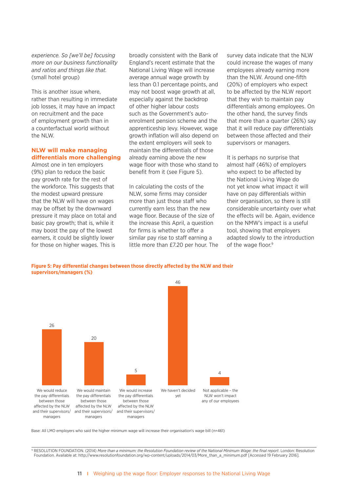*experience. So [we'll be] focusing more on our business functionality and ratios and things like that.*  (small hotel group)

This is another issue where, rather than resulting in immediate job losses, it may have an impact on recruitment and the pace of employment growth than in a counterfactual world without the NLW.

#### **NLW will make managing differentials more challenging**

Almost one in ten employers (9%) plan to reduce the basic pay growth rate for the rest of the workforce. This suggests that the modest upward pressure that the NLW will have on wages may be offset by the downward pressure it may place on total and basic pay growth; that is, while it may boost the pay of the lowest earners, it could be slightly lower for those on higher wages. This is

broadly consistent with the Bank of England's recent estimate that the National Living Wage will increase average annual wage growth by less than 0.1 percentage points, and may not boost wage growth at all, especially against the backdrop of other higher labour costs such as the Government's autoenrolment pension scheme and the apprenticeship levy. However, wage growth inflation will also depend on the extent employers will seek to maintain the differentials of those already earning above the new wage floor with those who stand to benefit from it (see Figure 5).

In calculating the costs of the NLW, some firms may consider more than just those staff who currently earn less than the new wage floor. Because of the size of the increase this April, a question for firms is whether to offer a similar pay rise to staff earning a little more than £7.20 per hour. The

survey data indicate that the NLW could increase the wages of many employees already earning more than the NLW. Around one-fifth (20%) of employers who expect to be affected by the NLW report that they wish to maintain pay differentials among employees. On the other hand, the survey finds that more than a quarter (26%) say that it will reduce pay differentials between those affected and their supervisors or managers.

It is perhaps no surprise that almost half (46%) of employers who expect to be affected by the National Living Wage do not yet know what impact it will have on pay differentials within their organisation, so there is still considerable uncertainty over what the effects will be. Again, evidence on the NMW's impact is a useful tool, showing that employers adapted slowly to the introduction of the wage floor.<sup>9</sup>

**Figure 5: Pay differential changes between those directly affected by the NLW and their supervisors/managers (%)**



Base: All LMO employers who said the higher minimum wage will increase their organisation's wage bill (n=461)

<sup>9</sup> RESOLUTION FOUNDATION. (2014) *More than a minimum: the Resolution Foundation review of the National Minimum Wage: the final report*. London: Resolution Foundation. Available at: http://www.resolutionfoundation.org/wp-content/uploads/2014/03/More\_than\_a\_minimum.pdf [Accessed 19 February 2016].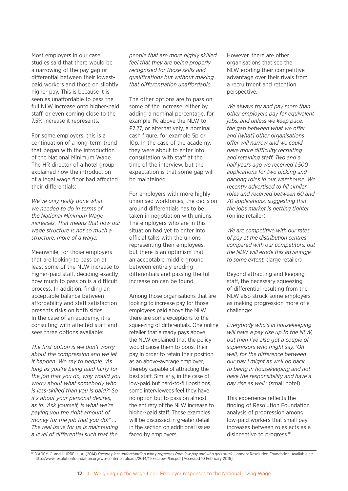Most employers in our case studies said that there would be a narrowing of the pay gap or differential between their lowestpaid workers and those on slightly higher pay. This is because it is seen as unaffordable to pass the full NLW increase onto higher-paid staff, or even coming close to the 7.5% increase it represents.

For some employers, this is a continuation of a long-term trend that began with the introduction of the National Minimum Wage. The HR director of a hotel group explained how the introduction of a legal wage floor had affected their differentials:

*We've only really done what we needed to do in terms of the National Minimum Wage increases. That means that now our wage structure is not so much a structure, more of a wage.*

Meanwhile, for those employers that are looking to pass on at least some of the NLW increase to higher-paid staff, deciding exactly how much to pass on is a difficult process. In addition, finding an acceptable balance between affordability and staff satisfaction presents risks on both sides. In the case of an academy, it is consulting with affected staff and sees three options available:

*The first option is we don't worry about the compression and we let it happen. We say to people, 'As long as you're being paid fairly for the job that you do, why would you worry about what somebody who is less-skilled than you is paid?' So it's about your personal desires, as in: 'Ask yourself, is what we're paying you the right amount of money for the job that you do?' … The real issue for us is maintaining a level of differential such that the* 

*people that are more highly skilled feel that they are being properly recognised for those skills and qualifications but without making that differentiation unaffordable.*

The other options are to pass on some of the increase, either by adding a nominal percentage, for example 1% above the NLW to £7.27, or alternatively, a nominal cash figure, for example 5p or 10p. In the case of the academy, they were about to enter into consultation with staff at the time of the interview, but the expectation is that some gap will be maintained.

For employers with more highly unionised workforces, the decision around differentials has to be taken in negotiation with unions. The employers who are in this situation had yet to enter into official talks with the unions representing their employees, but there is an optimism that an acceptable middle ground between entirely eroding differentials and passing the full increase on can be found.

Among those organisations that are looking to increase pay for those employees paid above the NLW, there are some exceptions to the squeezing of differentials. One online retailer that already pays above the NLW explained that the policy would cause them to boost their pay in order to retain their position as an above-average employer, thereby capable of attracting the best staff. Similarly, in the case of low-paid but hard-to-fill positions, some interviewees feel they have no option but to pass on almost the entirety of the NLW increase to higher-paid staff. These examples will be discussed in greater detail in the section on additional issues faced by employers.

However, there are other organisations that see the NLW eroding their competitive advantage over their rivals from a recruitment and retention perspective.

*We always try and pay more than other employers pay for equivalent jobs, and unless we keep pace, the gap between what we offer and [what] other organisations offer will narrow and we could have more difficulty recruiting and retaining staff. Two and a half years ago we received 1,500 applications for two picking and packing roles in our warehouse. We recently advertised to fill similar roles and received between 60 and 70 applications, suggesting that the jobs market is getting tighter.* (online retailer)

*We are competitive with our rates of pay at the distribution centres compared with our competitors, but the NLW will erode this advantage to some extent.* (large retailer)

Beyond attracting and keeping staff, the necessary squeezing of differential resulting from the NLW also struck some employers as making progression more of a challenge:

*Everybody who's in housekeeping will have a pay rise up to the NLW, but then I've also got a couple of supervisors who might say, 'Oh well, for the difference between our pay I might as well go back to being in housekeeping and not have the responsibility and have a pay rise as well.'* (small hotel)

This experience reflects the finding of Resolution Foundation analysis of progression among low-paid workers that small pay increases between roles acts as a disincentive to progress.<sup>10</sup>

<sup>&</sup>lt;sup>10</sup> D'ARCY, C. and HURRELL, A. (2014) *Escape plan: understanding who progresses from low pay and who gets stuck*. London: Resolution Foundation. Available at: http://www.resolutionfoundation.org/wp-content/uploads/2014/11/Escape-Plan.pdf [Accessed 10 February 2016].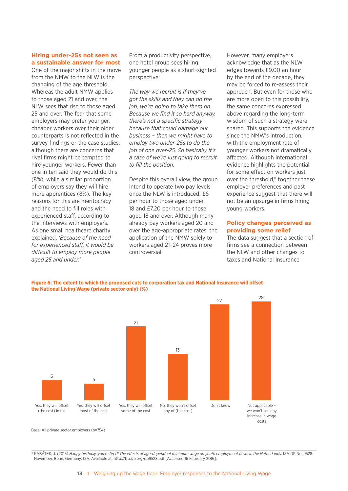#### **Hiring under-25s not seen as a sustainable answer for most**

One of the major shifts in the move from the NMW to the NLW is the changing of the age threshold. Whereas the adult NMW applies to those aged 21 and over, the NLW sees that rise to those aged 25 and over. The fear that some employers may prefer younger, cheaper workers over their older counterparts is not reflected in the survey findings or the case studies, although there are concerns that rival firms might be tempted to hire younger workers. Fewer than one in ten said they would do this (8%), while a similar proportion of employers say they will hire more apprentices (8%). The key reasons for this are meritocracy and the need to fill roles with experienced staff, according to the interviews with employers. As one small healthcare charity explained, *'Because of the need for experienced staff, it would be difficult to employ more people aged 25 and under.'*

From a productivity perspective, one hotel group sees hiring younger people as a short-sighted perspective:

*The way we recruit is if they've got the skills and they can do the job, we're going to take them on. Because we find it so hard anyway, there's not a specific strategy because that could damage our business – then we might have to employ two under-25s to do the job of one over-25. So basically it's a case of we're just going to recruit to fill the position.*

Despite this overall view, the group intend to operate two pay levels once the NLW is introduced: £6 per hour to those aged under 18 and £7.20 per hour to those aged 18 and over. Although many already pay workers aged 20 and over the age-appropriate rates, the application of the NMW solely to workers aged 21–24 proves more controversial.

However, many employers acknowledge that as the NLW edges towards £9.00 an hour by the end of the decade, they may be forced to re-assess their approach. But even for those who are more open to this possibility, the same concerns expressed above regarding the long-term wisdom of such a strategy were shared. This supports the evidence since the NMW's introduction, with the employment rate of younger workers not dramatically affected. Although international evidence highlights the potential for some effect on workers just over the threshold,<sup>11</sup> together these employer preferences and past experience suggest that there will not be an upsurge in firms hiring young workers.

#### **Policy changes perceived as providing some relief**

The data suggest that a section of firms see a connection between the NLW and other changes to taxes and National Insurance

**Figure 6: The extent to which the proposed cuts to corporation tax and National Insurance will offset the National Living Wage (private sector only) (%)**



Base: All private sector employers (n=754)

<sup>11</sup> KABÁTEK, J. (2015) *Happy birthday, you're fired! The effects of age-dependent minimum wage on youth employment flows in the Netherlands.* IZA DP No. 9528. November. Bonn, Germany: IZA. Available at: http://ftp.iza.org/dp9528.pdf [Accessed 16 February 2016].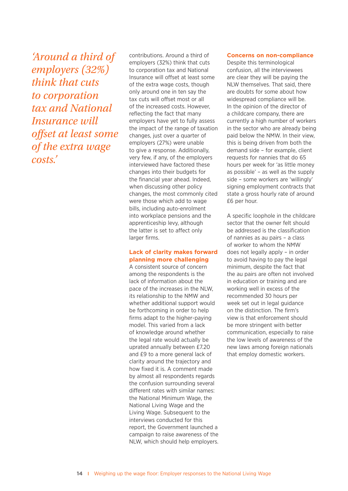*'Around a third of employers (32%) think that cuts to corporation tax and National Insurance will offset at least some of the extra wage costs.'* 

contributions. Around a third of employers (32%) think that cuts to corporation tax and National Insurance will offset at least some of the extra wage costs, though only around one in ten say the tax cuts will offset most or all of the increased costs. However, reflecting the fact that many employers have yet to fully assess the impact of the range of taxation changes, just over a quarter of employers (27%) were unable to give a response. Additionally, very few, if any, of the employers interviewed have factored these changes into their budgets for the financial year ahead. Indeed, when discussing other policy changes, the most commonly cited were those which add to wage bills, including auto-enrolment into workplace pensions and the apprenticeship levy, although the latter is set to affect only larger firms.

#### **Lack of clarity makes forward planning more challenging**

A consistent source of concern among the respondents is the lack of information about the pace of the increases in the NLW, its relationship to the NMW and whether additional support would be forthcoming in order to help firms adapt to the higher-paying model. This varied from a lack of knowledge around whether the legal rate would actually be uprated annually between £7.20 and £9 to a more general lack of clarity around the trajectory and how fixed it is. A comment made by almost all respondents regards the confusion surrounding several different rates with similar names: the National Minimum Wage, the National Living Wage and the Living Wage. Subsequent to the interviews conducted for this report, the Government launched a campaign to raise awareness of the NLW, which should help employers.

#### **Concerns on non-compliance**

Despite this terminological confusion, all the interviewees are clear they will be paying the NLW themselves. That said, there are doubts for some about how widespread compliance will be. In the opinion of the director of a childcare company, there are currently a high number of workers in the sector who are already being paid below the NMW. In their view, this is being driven from both the demand side – for example, client requests for nannies that do 65 hours per week for 'as little money as possible' – as well as the supply side – some workers are 'willingly' signing employment contracts that state a gross hourly rate of around £6 per hour.

A specific loophole in the childcare sector that the owner felt should be addressed is the classification of nannies as au pairs – a class of worker to whom the NMW does not legally apply – in order to avoid having to pay the legal minimum, despite the fact that the au pairs are often not involved in education or training and are working well in excess of the recommended 30 hours per week set out in legal guidance on the distinction. The firm's view is that enforcement should be more stringent with better communication, especially to raise the low levels of awareness of the new laws among foreign nationals that employ domestic workers.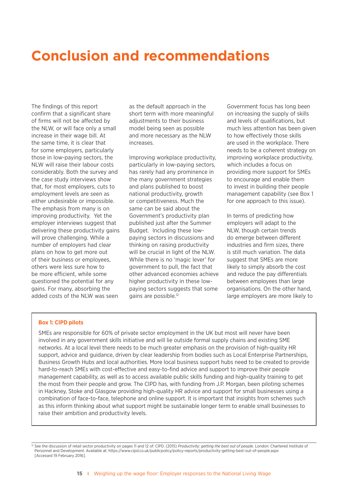# **Conclusion and recommendations**

The findings of this report confirm that a significant share of firms will not be affected by the NLW, or will face only a small increase in their wage bill. At the same time, it is clear that for some employers, particularly those in low-paying sectors, the NLW will raise their labour costs considerably. Both the survey and the case study interviews show that, for most employers, cuts to employment levels are seen as either undesirable or impossible. The emphasis from many is on improving productivity. Yet the employer interviews suggest that delivering these productivity gains will prove challenging. While a number of employers had clear plans on how to get more out of their business or employees, others were less sure how to be more efficient, while some questioned the potential for any gains. For many, absorbing the added costs of the NLW was seen

as the default approach in the short term with more meaningful adjustments to their business model being seen as possible and more necessary as the NLW increases.

Improving workplace productivity, particularly in low-paying sectors, has rarely had any prominence in the many government strategies and plans published to boost national productivity, growth or competitiveness. Much the same can be said about the Government's productivity plan published just after the Summer Budget. Including these lowpaying sectors in discussions and thinking on raising productivity will be crucial in light of the NLW. While there is no 'magic lever' for government to pull, the fact that other advanced economies achieve higher productivity in these lowpaying sectors suggests that some gains are possible.12

Government focus has long been on increasing the supply of skills and levels of qualifications, but much less attention has been given to how effectively those skills are used in the workplace. There needs to be a coherent strategy on improving workplace productivity, which includes a focus on providing more support for SMEs to encourage and enable them to invest in building their people management capability (see Box 1 for one approach to this issue).

In terms of predicting how employers will adapt to the NLW, though certain trends do emerge between different industries and firm sizes, there is still much variation. The data suggest that SMEs are more likely to simply absorb the cost and reduce the pay differentials between employees than large organisations. On the other hand, large employers are more likely to

#### **Box 1: CIPD pilots**

SMEs are responsible for 60% of private sector employment in the UK but most will never have been involved in any government skills initiative and will lie outside formal supply chains and existing SME networks. At a local level there needs to be much greater emphasis on the provision of high-quality HR support, advice and guidance, driven by clear leadership from bodies such as Local Enterprise Partnerships, Business Growth Hubs and local authorities. More local business support hubs need to be created to provide hard-to-reach SMEs with cost-effective and easy-to-find advice and support to improve their people management capability, as well as to access available public skills funding and high-quality training to get the most from their people and grow. The CIPD has, with funding from J.P. Morgan, been piloting schemes in Hackney, Stoke and Glasgow providing high-quality HR advice and support for small businesses using a combination of face-to-face, telephone and online support. It is important that insights from schemes such as this inform thinking about what support might be sustainable longer term to enable small businesses to raise their ambition and productivity levels.

<sup>&</sup>lt;sup>12</sup> See the discussion of retail sector productivity on pages 11 and 12 of: CIPD. (2015) *Productivity: getting the best out of people*. London: Chartered Institute of Personnel and Development. Available at: https://www.cipd.co.uk/publicpolicy/policy-reports/productivity-getting-best-out-of-people.aspx [Accessed 19 February 2016].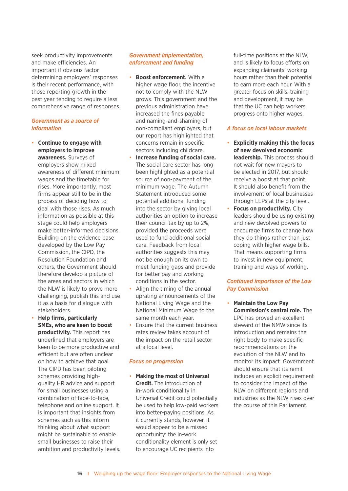seek productivity improvements and make efficiencies. An important if obvious factor determining employers' responses is their recent performance, with those reporting growth in the past year tending to require a less comprehensive range of responses.

#### *Government as a source of information*

- **Continue to engage with employers to improve awareness.** Surveys of employers show mixed awareness of different minimum wages and the timetable for rises. More importantly, most firms appear still to be in the process of deciding how to deal with those rises. As much information as possible at this stage could help employers make better-informed decisions. Building on the evidence base developed by the Low Pay Commission, the CIPD, the Resolution Foundation and others, the Government should therefore develop a picture of the areas and sectors in which the NLW is likely to prove more challenging, publish this and use it as a basis for dialogue with stakeholders.
- **Help firms, particularly SMEs, who are keen to boost productivity.** This report has underlined that employers are keen to be more productive and efficient but are often unclear on how to achieve that goal. The CIPD has been piloting schemes providing highquality HR advice and support for small businesses using a combination of face-to-face, telephone and online support. It is important that insights from schemes such as this inform thinking about what support might be sustainable to enable small businesses to raise their ambition and productivity levels.

#### *Government implementation, enforcement and funding*

- **Boost enforcement.** With a higher wage floor, the incentive not to comply with the NLW grows. This government and the previous administration have increased the fines payable and naming-and-shaming of non-compliant employers, but our report has highlighted that concerns remain in specific sectors including childcare.
- **Increase funding of social care.**  The social care sector has long been highlighted as a potential source of non-payment of the minimum wage. The Autumn Statement introduced some potential additional funding into the sector by giving local authorities an option to increase their council tax by up to 2%, provided the proceeds were used to fund additional social care. Feedback from local authorities suggests this may not be enough on its own to meet funding gaps and provide for better pay and working conditions in the sector.
- Align the timing of the annual uprating announcements of the National Living Wage and the National Minimum Wage to the same month each year.
- Ensure that the current business rates review takes account of the impact on the retail sector at a local level.

#### *Focus on progression*

• **Making the most of Universal Credit.** The introduction of in-work conditionality in Universal Credit could potentially be used to help low-paid workers into better-paying positions. As it currently stands, however, it would appear to be a missed opportunity: the in-work conditionality element is only set to encourage UC recipients into

full-time positions at the NLW, and is likely to focus efforts on expanding claimants' working hours rather than their potential to earn more each hour. With a greater focus on skills, training and development, it may be that the UC can help workers progress onto higher wages.

#### *A focus on local labour markets*

- **Explicitly making this the focus of new devolved economic leadership.** This process should not wait for new mayors to be elected in 2017, but should receive a boost at that point. It should also benefit from the involvement of local businesses through LEPs at the city level.
- **Focus on productivity.** City leaders should be using existing and new devolved powers to encourage firms to change how they do things rather than just coping with higher wage bills. That means supporting firms to invest in new equipment, training and ways of working.

#### *Continued importance of the Low Pay Commission*

• **Maintain the Low Pay Commission's central role.** The LPC has proved an excellent steward of the NMW since its introduction and remains the right body to make specific recommendations on the evolution of the NLW and to monitor its impact. Government should ensure that its remit includes an explicit requirement to consider the impact of the NLW on different regions and industries as the NLW rises over the course of this Parliament.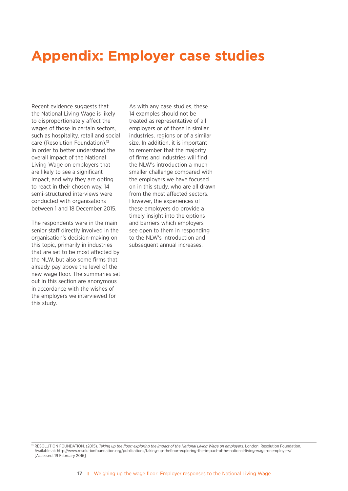# **Appendix: Employer case studies**

Recent evidence suggests that the National Living Wage is likely to disproportionately affect the wages of those in certain sectors, such as hospitality, retail and social care (Resolution Foundation).<sup>13</sup> In order to better understand the overall impact of the National Living Wage on employers that are likely to see a significant impact, and why they are opting to react in their chosen way, 14 semi-structured interviews were conducted with organisations between 1 and 18 December 2015.

The respondents were in the main senior staff directly involved in the organisation's decision-making on this topic, primarily in industries that are set to be most affected by the NLW, but also some firms that already pay above the level of the new wage floor. The summaries set out in this section are anonymous in accordance with the wishes of the employers we interviewed for this study.

As with any case studies, these 14 examples should not be treated as representative of all employers or of those in similar industries, regions or of a similar size. In addition, it is important to remember that the majority of firms and industries will find the NLW's introduction a much smaller challenge compared with the employers we have focused on in this study, who are all drawn from the most affected sectors. However, the experiences of these employers do provide a timely insight into the options and barriers which employers see open to them in responding to the NLW's introduction and subsequent annual increases.

<sup>&</sup>lt;sup>13</sup> RESOLUTION FOUNDATION. (2015). *Taking up the floor: exploring the impact of the National Living Wage on employers. London: Resolution Foundation.* Available at: http://www.resolutionfoundation.org/publications/taking-up-thefloor-exploring-the-impact-ofthe-national-living-wage-onemployers/ [Accessed: 19 February 2016]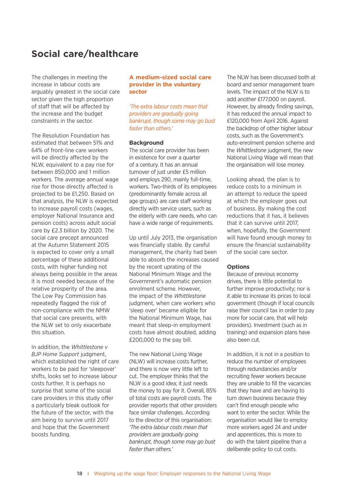### **Social care/healthcare**

The challenges in meeting the increase in labour costs are arguably greatest in the social care sector given the high proportion of staff that will be affected by the increase and the budget constraints in the sector.

The Resolution Foundation has estimated that between 51% and 64% of front-line care workers will be directly affected by the NLW, equivalent to a pay rise for between 850,000 and 1 million workers. The average annual wage rise for those directly affected is projected to be £1,250. Based on that analysis, the NLW is expected to increase payroll costs (wages, employer National Insurance and pension costs) across adult social care by £2.3 billion by 2020. The social care precept announced at the Autumn Statement 2015 is expected to cover only a small percentage of these additional costs, with higher funding not always being possible in the areas it is most needed because of the relative prosperity of the area. The Low Pay Commission has repeatedly flagged the risk of non-compliance with the NMW that social care presents, with the NLW set to only exacerbate this situation.

In addition, the *Whittlestone v BJP Home Support* judgment, which established the right of care workers to be paid for 'sleepover' shifts, looks set to increase labour costs further. It is perhaps no surprise that some of the social care providers in this study offer a particularly bleak outlook for the future of the sector, with the aim being to survive until 2017 and hope that the Government boosts funding.

#### **A medium-sized social care provider in the voluntary sector**

*'The extra labour costs mean that providers are gradually going bankrupt, though some may go bust faster than others.'*

#### **Background**

The social care provider has been in existence for over a quarter of a century. It has an annual turnover of just under £5 million and employs 290, mainly full-time, workers. Two-thirds of its employees (predominantly female across all age groups) are care staff working directly with service users, such as the elderly with care needs, who can have a wide range of requirements.

Up until July 2013, the organisation was financially stable. By careful management, the charity had been able to absorb the increases caused by the recent uprating of the National Minimum Wage and the Government's automatic pension enrolment scheme. However, the impact of the *Whittlestone* judgment, when care workers who 'sleep over' became eligible for the National Minimum Wage, has meant that sleep-in employment costs have almost doubled, adding £200,000 to the pay bill.

The new National Living Wage (NLW) will increase costs further, and there is now very little left to cut. The employer thinks that the NLW is a good idea; it just needs the money to pay for it. Overall, 85% of total costs are payroll costs. The provider reports that other providers face similar challenges. According to the director of this organisation: *'The extra labour costs mean that providers are gradually going bankrupt, though some may go bust faster than others.'*

The NLW has been discussed both at board and senior management team levels. The impact of the NLW is to add another £177,000 on payroll. However, by already finding savings, it has reduced the annual impact to £120,000 from April 2016. Against the backdrop of other higher labour costs, such as the Government's auto-enrolment pension scheme and the *Whittlestone* judgment, the new National Living Wage will mean that the organisation will lose money.

Looking ahead, the plan is to reduce costs to a minimum in an attempt to reduce the speed at which the employer goes out of business. By making the cost reductions that it has, it believes that it can survive until 2017, when, hopefully, the Government will have found enough money to ensure the financial sustainability of the social care sector.

#### **Options**

Because of previous economy drives, there is little potential to further improve productivity; nor is it able to increase its prices to local government (though if local councils raise their council tax in order to pay more for social care, that will help providers). Investment (such as in training) and expansion plans have also been cut.

In addition, it is not in a position to reduce the number of employees through redundancies and/or recruiting fewer workers because they are unable to fill the vacancies that they have and are having to turn down business because they can't find enough people who want to enter the sector. While the organisation would like to employ more workers aged 24 and under and apprentices, this is more to do with the talent pipeline than a deliberate policy to cut costs.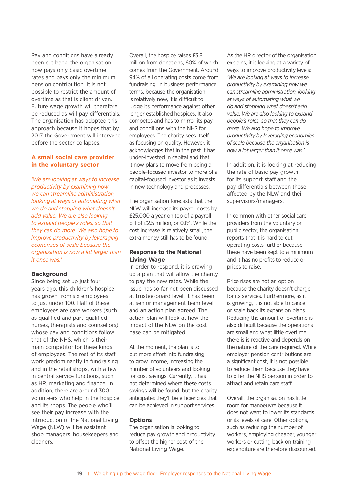Pay and conditions have already been cut back: the organisation now pays only basic overtime rates and pays only the minimum pension contribution. It is not possible to restrict the amount of overtime as that is client driven. Future wage growth will therefore be reduced as will pay differentials. The organisation has adopted this approach because it hopes that by 2017 the Government will intervene before the sector collapses.

#### **A small social care provider in the voluntary sector**

*'We are looking at ways to increase productivity by examining how we can streamline administration, looking at ways of automating what we do and stopping what doesn't add value. We are also looking to expand people's roles, so that they can do more. We also hope to improve productivity by leveraging economies of scale because the organisation is now a lot larger than it once was.'* 

#### **Background**

Since being set up just four years ago, this children's hospice has grown from six employees to just under 100. Half of these employees are care workers (such as qualified and part-qualified nurses, therapists and counsellors) whose pay and conditions follow that of the NHS, which is their main competitor for these kinds of employees. The rest of its staff work predominantly in fundraising and in the retail shops, with a few in central service functions, such as HR, marketing and finance. In addition, there are around 300 volunteers who help in the hospice and its shops. The people who'll see their pay increase with the introduction of the National Living Wage (NLW) will be assistant shop managers, housekeepers and cleaners.

Overall, the hospice raises £3.8 million from donations, 60% of which comes from the Government. Around 94% of all operating costs come from fundraising. In business performance terms, because the organisation is relatively new, it is difficult to judge its performance against other longer established hospices. It also competes and has to mirror its pay and conditions with the NHS for employees. The charity sees itself as focusing on quality. However, it acknowledges that in the past it has under-invested in capital and that it now plans to move from being a people-focused investor to more of a capital-focused investor as it invests in new technology and processes.

The organisation forecasts that the NLW will increase its payroll costs by £25,000 a year on top of a payroll bill of £2.5 million, or 0.1%. While the cost increase is relatively small, the extra money still has to be found.

#### **Response to the National Living Wage**

In order to respond, it is drawing up a plan that will allow the charity to pay the new rates. While the issue has so far not been discussed at trustee-board level, it has been at senior management team level and an action plan agreed. The action plan will look at how the impact of the NLW on the cost base can be mitigated.

At the moment, the plan is to put more effort into fundraising to grow income, increasing the number of volunteers and looking for cost savings. Currently, it has not determined where these costs savings will be found, but the charity anticipates they'll be efficiencies that can be achieved in support services.

#### **Options**

The organisation is looking to reduce pay growth and productivity to offset the higher cost of the National Living Wage.

As the HR director of the organisation explains, it is looking at a variety of ways to improve productivity levels: *'We are looking at ways to increase productivity by examining how we can streamline administration, looking at ways of automating what we do and stopping what doesn't add value. We are also looking to expand people's roles, so that they can do more. We also hope to improve productivity by leveraging economies of scale because the organisation is now a lot larger than it once was.'*

In addition, it is looking at reducing the rate of basic pay growth for its support staff and the pay differentials between those affected by the NLW and their supervisors/managers.

In common with other social care providers from the voluntary or public sector, the organisation reports that it is hard to cut operating costs further because these have been kept to a minimum and it has no profits to reduce or prices to raise.

Price rises are not an option because the charity doesn't charge for its services. Furthermore, as it is growing, it is not able to cancel or scale back its expansion plans. Reducing the amount of overtime is also difficult because the operations are small and what little overtime there is is reactive and depends on the nature of the care required. While employer pension contributions are a significant cost, it is not possible to reduce them because they have to offer the NHS pension in order to attract and retain care staff.

Overall, the organisation has little room for manoeuvre because it does not want to lower its standards or its levels of care. Other options, such as reducing the number of workers, employing cheaper, younger workers or cutting back on training expenditure are therefore discounted.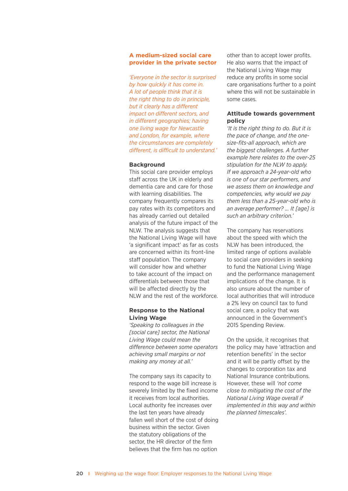#### **A medium-sized social care provider in the private sector**

*'Everyone in the sector is surprised by how quickly it has come in. A lot of people think that it is the right thing to do in principle, but it clearly has a different impact on different sectors, and in different geographies; having one living wage for Newcastle and London, for example, where the circumstances are completely different, is difficult to understand.'*

#### **Background**

This social care provider employs staff across the UK in elderly and dementia care and care for those with learning disabilities. The company frequently compares its pay rates with its competitors and has already carried out detailed analysis of the future impact of the NLW. The analysis suggests that the National Living Wage will have 'a significant impact' as far as costs are concerned within its front-line staff population. The company will consider how and whether to take account of the impact on differentials between those that will be affected directly by the NLW and the rest of the workforce.

#### **Response to the National Living Wage**

*'Speaking to colleagues in the [social care] sector, the National Living Wage could mean the difference between some operators achieving small margins or not making any money at all.'*

The company says its capacity to respond to the wage bill increase is severely limited by the fixed income it receives from local authorities. Local authority fee increases over the last ten years have already fallen well short of the cost of doing business within the sector. Given the statutory obligations of the sector, the HR director of the firm believes that the firm has no option

other than to accept lower profits. He also warns that the impact of the National Living Wage may reduce any profits in some social care organisations further to a point where this will not be sustainable in some cases.

#### **Attitude towards government policy**

*'It is the right thing to do. But it is the pace of change, and the onesize-fits-all approach, which are the biggest challenges. A further example here relates to the over-25 stipulation for the NLW to apply. If we approach a 24-year-old who is one of our star performers, and we assess them on knowledge and competencies, why would we pay them less than a 25-year-old who is an average performer? … It [age] is such an arbitrary criterion.'* 

The company has reservations about the speed with which the NLW has been introduced, the limited range of options available to social care providers in seeking to fund the National Living Wage and the performance management implications of the change. It is also unsure about the number of local authorities that will introduce a 2% levy on council tax to fund social care, a policy that was announced in the Government's 2015 Spending Review.

On the upside, it recognises that the policy may have 'attraction and retention benefits' in the sector and it will be partly offset by the changes to corporation tax and National Insurance contributions. However, these will *'not come close to mitigating the cost of the National Living Wage overall if implemented in this way and within the planned timescales'.*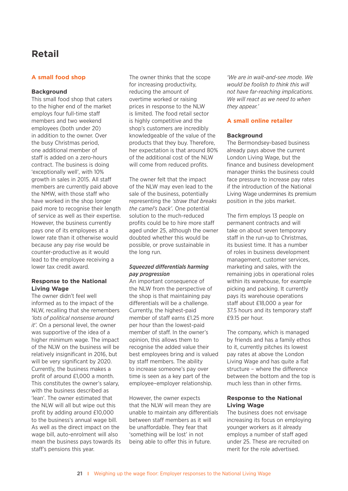### **Retail**

#### **A small food shop**

#### **Background**

This small food shop that caters to the higher end of the market employs four full-time staff members and two weekend employees (both under 20) in addition to the owner. Over the busy Christmas period, one additional member of staff is added on a zero-hours contract. The business is doing 'exceptionally well', with 10% growth in sales in 2015. All staff members are currently paid above the NMW, with those staff who have worked in the shop longer paid more to recognise their length of service as well as their expertise. However, the business currently pays one of its employees at a lower rate than it otherwise would because any pay rise would be counter-productive as it would lead to the employee receiving a lower tax credit award.

#### **Response to the National Living Wage**

The owner didn't feel well informed as to the impact of the NLW, recalling that she remembers *'lots of political nonsense around it'.* On a personal level, the owner was supportive of the idea of a higher minimum wage. The impact of the NLW on the business will be relatively insignificant in 2016, but will be very significant by 2020. Currently, the business makes a profit of around £1,000 a month. This constitutes the owner's salary, with the business described as 'lean'. The owner estimated that the NLW will all but wipe out this profit by adding around £10,000 to the business's annual wage bill. As well as the direct impact on the wage bill, auto-enrolment will also mean the business pays towards its staff's pensions this year.

The owner thinks that the scope for increasing productivity, reducing the amount of overtime worked or raising prices in response to the NLW is limited. The food retail sector is highly competitive and the shop's customers are incredibly knowledgeable of the value of the products that they buy. Therefore, her expectation is that around 80% of the additional cost of the NLW will come from reduced profits.

The owner felt that the impact of the NLW may even lead to the sale of the business, potentially representing the *'straw that breaks the camel's back'.* One potential solution to the much-reduced profits could be to hire more staff aged under 25, although the owner doubted whether this would be possible, or prove sustainable in the long run.

#### *Squeezed differentials harming pay progression*

An important consequence of the NLW from the perspective of the shop is that maintaining pay differentials will be a challenge. Currently, the highest-paid member of staff earns £1.25 more per hour than the lowest-paid member of staff. In the owner's opinion, this allows them to recognise the added value their best employees bring and is valued by staff members. The ability to increase someone's pay over time is seen as a key part of the employee–employer relationship.

However, the owner expects that the NLW will mean they are unable to maintain any differentials between staff members as it will be unaffordable. They fear that 'something will be lost' in not being able to offer this in future.

*'We are in wait-and-see mode. We would be foolish to think this will not have far-reaching implications. We will react as we need to when they appear.'*

#### **A small online retailer**

#### **Background**

The Bermondsey-based business already pays above the current London Living Wage, but the finance and business development manager thinks the business could face pressure to increase pay rates if the introduction of the National Living Wage undermines its premium position in the jobs market.

The firm employs 13 people on permanent contracts and will take on about seven temporary staff in the run-up to Christmas, its busiest time. It has a number of roles in business development management, customer services, marketing and sales, with the remaining jobs in operational roles within its warehouse, for example picking and packing. It currently pays its warehouse operations staff about £18,000 a year for 37.5 hours and its temporary staff £9.15 per hour.

The company, which is managed by friends and has a family ethos to it, currently pitches its lowest pay rates at above the London Living Wage and has quite a flat structure – where the difference between the bottom and the top is much less than in other firms.

#### **Response to the National Living Wage**

The business does not envisage increasing its focus on employing younger workers as it already employs a number of staff aged under 25. These are recruited on merit for the role advertised.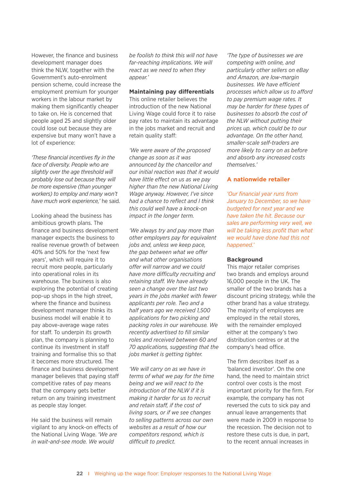However, the finance and business development manager does think the NLW, together with the Government's auto-enrolment pension scheme, could increase the employment premium for younger workers in the labour market by making them significantly cheaper to take on. He is concerned that people aged 25 and slightly older could lose out because they are expensive but many won't have a lot of experience:

*'These financial incentives fly in the face of diversity. People who are slightly over the age threshold will probably lose out because they will be more expensive (than younger workers) to employ and many won't have much work experience,'* he said.

Looking ahead the business has ambitious growth plans. The finance and business development manager expects the business to realise revenue growth of between 40% and 50% for the 'next few years', which will require it to recruit more people, particularly into operational roles in its warehouse. The business is also exploring the potential of creating pop-up shops in the high street, where the finance and business development manager thinks its business model will enable it to pay above-average wage rates for staff. To underpin its growth plan, the company is planning to continue its investment in staff training and formalise this so that it becomes more structured. The finance and business development manager believes that paying staff competitive rates of pay means that the company gets better return on any training investment as people stay longer.

He said the business will remain vigilant to any knock-on effects of the National Living Wage. *'We are in wait-and-see mode. We would* 

*be foolish to think this will not have far-reaching implications. We will react as we need to when they appear.'* 

#### **Maintaining pay differentials**

This online retailer believes the introduction of the new National Living Wage could force it to raise pay rates to maintain its advantage in the jobs market and recruit and retain quality staff:

*'We were aware of the proposed change as soon as it was announced by the chancellor and our initial reaction was that it would have little effect on us as we pay higher than the new National Living Wage anyway. However, I've since had a chance to reflect and I think this could well have a knock-on impact in the longer term.*

*'We always try and pay more than other employers pay for equivalent jobs and, unless we keep pace, the gap between what we offer and what other organisations offer will narrow and we could have more difficulty recruiting and retaining staff. We have already seen a change over the last two years in the jobs market with fewer applicants per role. Two and a half years ago we received 1,500 applications for two picking and packing roles in our warehouse. We recently advertised to fill similar roles and received between 60 and 70 applications, suggesting that the jobs market is getting tighter.*

*'We will carry on as we have in terms of what we pay for the time being and we will react to the introduction of the NLW if it is making it harder for us to recruit and retain staff, if the cost of living soars, or if we see changes to selling patterns across our own websites as a result of how our competitors respond, which is difficult to predict.*

*'The type of businesses we are competing with online, and particularly other sellers on eBay and Amazon, are low-margin businesses. We have efficient processes which allow us to afford to pay premium wage rates. It may be harder for these types of businesses to absorb the cost of the NLW without putting their prices up, which could be to our advantage. On the other hand, smaller-scale self-traders are more likely to carry on as before and absorb any increased costs themselves.'*

#### **A nationwide retailer**

*'Our financial year runs from January to December, so we have budgeted for next year and we have taken the hit. Because our sales are performing very well, we will be taking less profit than what we would have done had this not happened.'*

#### **Background**

This major retailer comprises two brands and employs around 16,000 people in the UK. The smaller of the two brands has a discount pricing strategy, while the other brand has a value strategy. The majority of employees are employed in the retail stores, with the remainder employed either at the company's two distribution centres or at the company's head office.

The firm describes itself as a 'balanced investor'. On the one hand, the need to maintain strict control over costs is the most important priority for the firm. For example, the company has not reversed the cuts to sick pay and annual leave arrangements that were made in 2009 in response to the recession. The decision not to restore these cuts is due, in part, to the recent annual increases in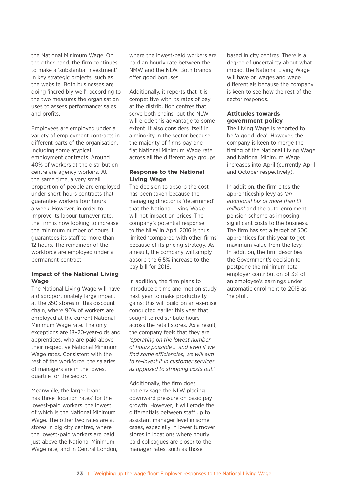the National Minimum Wage. On the other hand, the firm continues to make a 'substantial investment' in key strategic projects, such as the website. Both businesses are doing 'incredibly well', according to the two measures the organisation uses to assess performance: sales and profits.

Employees are employed under a variety of employment contracts in different parts of the organisation, including some atypical employment contracts. Around 40% of workers at the distribution centre are agency workers. At the same time, a very small proportion of people are employed under short-hours contracts that guarantee workers four hours a week. However, in order to improve its labour turnover rate, the firm is now looking to increase the minimum number of hours it guarantees its staff to more than 12 hours. The remainder of the workforce are employed under a permanent contract.

#### **Impact of the National Living Wage**

The National Living Wage will have a disproportionately large impact at the 350 stores of this discount chain, where 90% of workers are employed at the current National Minimum Wage rate. The only exceptions are 18–20-year-olds and apprentices, who are paid above their respective National Minimum Wage rates. Consistent with the rest of the workforce, the salaries of managers are in the lowest quartile for the sector.

Meanwhile, the larger brand has three 'location rates' for the lowest-paid workers, the lowest of which is the National Minimum Wage. The other two rates are at stores in big city centres, where the lowest-paid workers are paid just above the National Minimum Wage rate, and in Central London, where the lowest-paid workers are paid an hourly rate between the NMW and the NLW. Both brands offer good bonuses.

Additionally, it reports that it is competitive with its rates of pay at the distribution centres that serve both chains, but the NLW will erode this advantage to some extent. It also considers itself in a minority in the sector because the majority of firms pay one flat National Minimum Wage rate across all the different age groups.

#### **Response to the National Living Wage**

The decision to absorb the cost has been taken because the managing director is 'determined' that the National Living Wage will not impact on prices. The company's potential response to the NLW in April 2016 is thus limited 'compared with other firms' because of its pricing strategy. As a result, the company will simply absorb the 6.5% increase to the pay bill for 2016.

In addition, the firm plans to introduce a time and motion study next year to make productivity gains; this will build on an exercise conducted earlier this year that sought to redistribute hours across the retail stores. As a result, the company feels that they are *'operating on the lowest number of hours possible … and even if we find some efficiencies, we will aim to re-invest it in customer services as opposed to stripping costs out.'*

Additionally, the firm does not envisage the NLW placing downward pressure on basic pay growth. However, it will erode the differentials between staff up to assistant manager level in some cases, especially in lower turnover stores in locations where hourly paid colleagues are closer to the manager rates, such as those

based in city centres. There is a degree of uncertainty about what impact the National Living Wage will have on wages and wage differentials because the company is keen to see how the rest of the sector responds.

#### **Attitudes towards government policy**

The Living Wage is reported to be 'a good idea'. However, the company is keen to merge the timing of the National Living Wage and National Minimum Wage increases into April (currently April and October respectively).

In addition, the firm cites the apprenticeship levy as *'an additional tax of more than £1 million'* and the auto-enrolment pension scheme as imposing significant costs to the business. The firm has set a target of 500 apprentices for this year to get maximum value from the levy. In addition, the firm describes the Government's decision to postpone the minimum total employer contribution of 3% of an employee's earnings under automatic enrolment to 2018 as 'helpful'.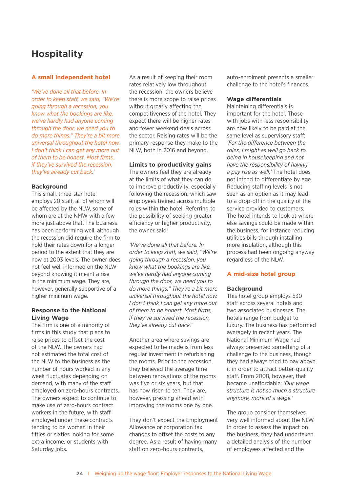### **Hospitality**

#### **A small independent hotel**

*'We've done all that before. In order to keep staff, we said, "We're going through a recession, you know what the bookings are like, we've hardly had anyone coming through the door, we need you to do more things." They're a bit more universal throughout the hotel now. I don't think I can get any more out of them to be honest. Most firms, if they've survived the recession, they've already cut back.'*

#### **Background**

This small, three-star hotel employs 20 staff, all of whom will be affected by the NLW, some of whom are at the NMW with a few more just above that. The business has been performing well, although the recession did require the firm to hold their rates down for a longer period to the extent that they are now at 2003 levels. The owner does not feel well informed on the NLW beyond knowing it meant a rise in the minimum wage. They are, however, generally supportive of a higher minimum wage.

#### **Response to the National Living Wage**

The firm is one of a minority of firms in this study that plans to raise prices to offset the cost of the NLW. The owners had not estimated the total cost of the NLW to the business as the number of hours worked in any week fluctuates depending on demand, with many of the staff employed on zero-hours contracts. The owners expect to continue to make use of zero-hours contract workers in the future, with staff employed under these contracts tending to be women in their fifties or sixties looking for some extra income, or students with Saturday jobs.

As a result of keeping their room rates relatively low throughout the recession, the owners believe there is more scope to raise prices without greatly affecting the competitiveness of the hotel. They expect there will be higher rates and fewer weekend deals across the sector. Raising rates will be the primary response they make to the NLW, both in 2016 and beyond.

#### **Limits to productivity gains**

The owners feel they are already at the limits of what they can do to improve productivity, especially following the recession, which saw employees trained across multiple roles within the hotel. Referring to the possibility of seeking greater efficiency or higher productivity, the owner said:

*'We've done all that before. In order to keep staff, we said, "We're going through a recession, you know what the bookings are like, we've hardly had anyone coming through the door, we need you to do more things." They're a bit more universal throughout the hotel now. I don't think I can get any more out of them to be honest. Most firms, if they've survived the recession, they've already cut back.'*

Another area where savings are expected to be made is from less regular investment in refurbishing the rooms. Prior to the recession, they believed the average time between renovations of the rooms was five or six years, but that has now risen to ten. They are, however, pressing ahead with improving the rooms one by one.

They don't expect the Employment Allowance or corporation tax changes to offset the costs to any degree. As a result of having many staff on zero-hours contracts,

auto-enrolment presents a smaller challenge to the hotel's finances.

#### **Wage differentials**

Maintaining differentials is important for the hotel. Those with jobs with less responsibility are now likely to be paid at the same level as supervisory staff: *'For the difference between the roles, I might as well go back to being in housekeeping and not have the responsibility of having a pay rise as well.'* The hotel does not intend to differentiate by age. Reducing staffing levels is not seen as an option as it may lead to a drop-off in the quality of the service provided to customers. The hotel intends to look at where else savings could be made within the business, for instance reducing utilities bills through installing more insulation, although this process had been ongoing anyway regardless of the NLW.

#### **A mid-size hotel group**

#### **Background**

This hotel group employs 530 staff across several hotels and two associated businesses. The hotels range from budget to luxury. The business has performed averagely in recent years. The National Minimum Wage had always presented something of a challenge to the business, though they had always tried to pay above it in order to attract better-quality staff. From 2008, however, that became unaffordable: *'Our wage structure is not so much a structure anymore, more of a wage.'*

The group consider themselves very well informed about the NLW. In order to assess the impact on the business, they had undertaken a detailed analysis of the number of employees affected and the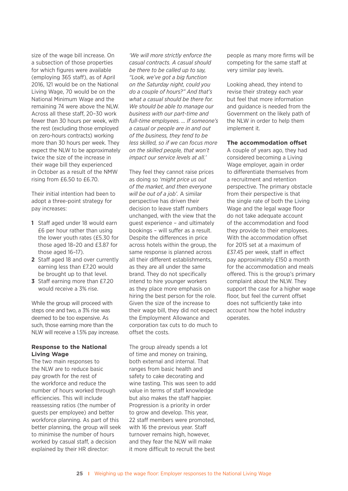size of the wage bill increase. On a subsection of those properties for which figures were available (employing 365 staff), as of April 2016, 121 would be on the National Living Wage, 70 would be on the National Minimum Wage and the remaining 74 were above the NLW. Across all these staff, 20–30 work fewer than 30 hours per week, with the rest (excluding those employed on zero-hours contracts) working more than 30 hours per week. They expect the NLW to be approximately twice the size of the increase in their wage bill they experienced in October as a result of the NMW rising from £6.50 to £6.70.

Their initial intention had been to adopt a three-point strategy for pay increases:

- **1** Staff aged under 18 would earn £6 per hour rather than using the lower youth rates (£5.30 for those aged 18–20 and £3.87 for those aged 16–17).
- **2** Staff aged 18 and over currently earning less than £7.20 would be brought up to that level.
- **3** Staff earning more than £7.20 would receive a 3% rise.

While the group will proceed with steps one and two, a 3% rise was deemed to be too expensive. As such, those earning more than the NLW will receive a 1.5% pay increase.

#### **Response to the National Living Wage**

The two main responses to the NLW are to reduce basic pay growth for the rest of the workforce and reduce the number of hours worked through efficiencies. This will include reassessing ratios (the number of guests per employee) and better workforce planning. As part of this better planning, the group will seek to minimise the number of hours worked by casual staff, a decision explained by their HR director:

*'We will more strictly enforce the casual contracts. A casual should be there to be called up to say, "Look, we've got a big function on the Saturday night, could you do a couple of hours?" And that's what a casual should be there for. We should be able to manage our business with our part-time and full-time employees. … If someone's a casual or people are in and out of the business, they tend to be less skilled, so if we can focus more on the skilled people, that won't impact our service levels at all.'*

They feel they cannot raise prices as doing so *'might price us out of the market, and then everyone will be out of a job'.* A similar perspective has driven their decision to leave staff numbers unchanged, with the view that the guest experience – and ultimately bookings – will suffer as a result. Despite the differences in price across hotels within the group, the same response is planned across all their different establishments, as they are all under the same brand. They do not specifically intend to hire younger workers as they place more emphasis on hiring the best person for the role. Given the size of the increase to their wage bill, they did not expect the Employment Allowance and corporation tax cuts to do much to offset the costs.

The group already spends a lot of time and money on training, both external and internal. That ranges from basic health and safety to cake decorating and wine tasting. This was seen to add value in terms of staff knowledge but also makes the staff happier. Progression is a priority in order to grow and develop. This year, 22 staff members were promoted, with 16 the previous year. Staff turnover remains high, however, and they fear the NLW will make it more difficult to recruit the best

people as many more firms will be competing for the same staff at very similar pay levels.

Looking ahead, they intend to revise their strategy each year but feel that more information and guidance is needed from the Government on the likely path of the NLW in order to help them implement it.

#### **The accommodation offset**

A couple of years ago, they had considered becoming a Living Wage employer, again in order to differentiate themselves from a recruitment and retention perspective. The primary obstacle from their perspective is that the single rate of both the Living Wage and the legal wage floor do not take adequate account of the accommodation and food they provide to their employees. With the accommodation offset for 2015 set at a maximum of £37.45 per week, staff in effect pay approximately £150 a month for the accommodation and meals offered. This is the group's primary complaint about the NLW. They support the case for a higher wage floor, but feel the current offset does not sufficiently take into account how the hotel industry operates.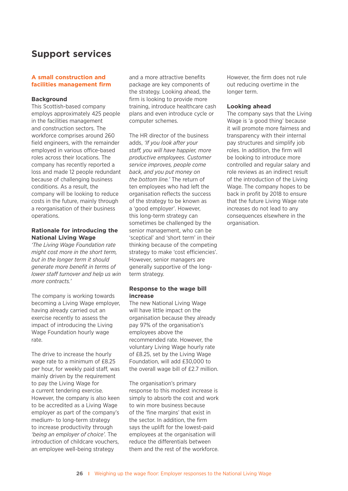### **Support services**

#### **A small construction and facilities management firm**

#### **Background**

This Scottish-based company employs approximately 425 people in the facilities management and construction sectors. The workforce comprises around 260 field engineers, with the remainder employed in various office-based roles across their locations. The company has recently reported a loss and made 12 people redundant because of challenging business conditions. As a result, the company will be looking to reduce costs in the future, mainly through a reorganisation of their business operations.

#### **Rationale for introducing the National Living Wage**

*'The Living Wage Foundation rate might cost more in the short term, but in the longer term it should generate more benefit in terms of lower staff turnover and help us win more contracts.'*

The company is working towards becoming a Living Wage employer, having already carried out an exercise recently to assess the impact of introducing the Living Wage Foundation hourly wage rate.

The drive to increase the hourly wage rate to a minimum of £8.25 per hour, for weekly paid staff, was mainly driven by the requirement to pay the Living Wage for a current tendering exercise. However, the company is also keen to be accredited as a Living Wage employer as part of the company's medium- to long-term strategy to increase productivity through *'being an employer of choice'.* The introduction of childcare vouchers, an employee well-being strategy

and a more attractive benefits package are key components of the strategy. Looking ahead, the firm is looking to provide more training, introduce healthcare cash plans and even introduce cycle or computer schemes.

The HR director of the business adds, *'If you look after your staff, you will have happier, more productive employees. Customer service improves, people come back, and you put money on the bottom line.'* The return of ten employees who had left the organisation reflects the success of the strategy to be known as a 'good employer'. However, this long-term strategy can sometimes be challenged by the senior management, who can be 'sceptical' and 'short term' in their thinking because of the competing strategy to make 'cost efficiencies'. However, senior managers are generally supportive of the longterm strategy.

#### **Response to the wage bill increase**

The new National Living Wage will have little impact on the organisation because they already pay 97% of the organisation's employees above the recommended rate. However, the voluntary Living Wage hourly rate of £8.25, set by the Living Wage Foundation, will add £30,000 to the overall wage bill of £2.7 million.

The organisation's primary response to this modest increase is simply to absorb the cost and work to win more business because of the 'fine margins' that exist in the sector. In addition, the firm says the uplift for the lowest-paid employees at the organisation will reduce the differentials between them and the rest of the workforce. However, the firm does not rule out reducing overtime in the longer term.

#### **Looking ahead**

The company says that the Living Wage is 'a good thing' because it will promote more fairness and transparency with their internal pay structures and simplify job roles. In addition, the firm will be looking to introduce more controlled and regular salary and role reviews as an indirect result of the introduction of the Living Wage. The company hopes to be back in profit by 2018 to ensure that the future Living Wage rate increases do not lead to any consequences elsewhere in the organisation.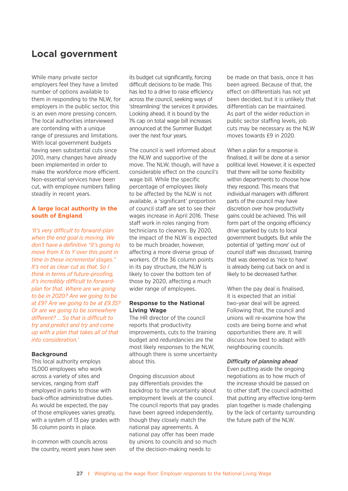### **Local government**

While many private sector employers feel they have a limited number of options available to them in responding to the NLW, for employers in the public sector, this is an even more pressing concern. The local authorities interviewed are contending with a unique range of pressures and limitations. With local government budgets having seen substantial cuts since 2010, many changes have already been implemented in order to make the workforce more efficient. Non-essential services have been cut, with employee numbers falling steadily in recent years.

#### **A large local authority in the south of England**

*'It's very difficult to forward-plan when the end goal is moving. We don't have a definitive "it's going to move from X to Y over this point in time in these incremental stages." It's not as clear cut as that. So I think in terms of future-proofing, it's incredibly difficult to forwardplan for that. Where are we going to be in 2020? Are we going to be at £9? Are we going to be at £9.35? Or are we going to be somewhere different? … So that is difficult to try and predict and try and come up with a plan that takes all of that into consideration.'*

#### **Background**

This local authority employs 15,000 employees who work across a variety of sites and services, ranging from staff employed in parks to those with back-office administrative duties. As would be expected, the pay of those employees varies greatly, with a system of 13 pay grades with 36 column points in place.

In common with councils across the country, recent years have seen its budget cut significantly, forcing difficult decisions to be made. This has led to a drive to raise efficiency across the council, seeking ways of 'streamlining' the services it provides. Looking ahead, it is bound by the 1% cap on total wage bill increases announced at the Summer Budget over the next four years.

The council is well informed about the NLW and supportive of the move. The NLW, though, will have a considerable effect on the council's wage bill. While the specific percentage of employees likely to be affected by the NLW is not available, a 'significant' proportion of council staff are set to see their wages increase in April 2016. These staff work in roles ranging from technicians to cleaners. By 2020, the impact of the NLW is expected to be much broader, however, affecting a more diverse group of workers. Of the 36 column points in its pay structure, the NLW is likely to cover the bottom ten of those by 2020, affecting a much wider range of employees.

#### **Response to the National Living Wage**

The HR director of the council reports that productivity improvements, cuts to the training budget and redundancies are the most likely responses to the NLW, although there is some uncertainty about this.

Ongoing discussion about pay differentials provides the backdrop to the uncertainty about employment levels at the council. The council reports that pay grades have been agreed independently, though they closely match the national pay agreements. A national pay offer has been made by unions to councils and so much of the decision-making needs to

be made on that basis, once it has been agreed. Because of that, the effect on differentials has not yet been decided, but it is unlikely that differentials can be maintained. As part of the wider reduction in public sector staffing levels, job cuts may be necessary as the NLW moves towards £9 in 2020.

When a plan for a response is finalised, it will be done at a senior political level. However, it is expected that there will be some flexibility within departments to choose how they respond. This means that individual managers with different parts of the council may have discretion over how productivity gains could be achieved. This will form part of the ongoing efficiency drive sparked by cuts to local government budgets. But while the potential of 'getting more' out of council staff was discussed, training that was deemed as 'nice to have' is already being cut back on and is likely to be decreased further.

When the pay deal is finalised, it is expected that an initial two-year deal will be agreed. Following that, the council and unions will re-examine how the costs are being borne and what opportunities there are. It will discuss how best to adapt with neighbouring councils.

#### *Difficulty of planning ahead*

Even putting aside the ongoing negotiations as to how much of the increase should be passed on to other staff, the council admitted that putting any effective long-term plan together is made challenging by the lack of certainty surrounding the future path of the NLW.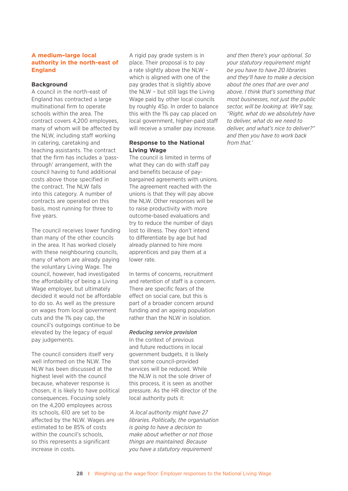#### **A medium–large local authority in the north-east of England**

#### **Background**

A council in the north-east of England has contracted a large multinational firm to operate schools within the area. The contract covers 4,200 employees, many of whom will be affected by the NLW, including staff working in catering, caretaking and teaching assistants. The contract that the firm has includes a 'passthrough' arrangement, with the council having to fund additional costs above those specified in the contract. The NLW falls into this category. A number of contracts are operated on this basis, most running for three to five years.

The council receives lower funding than many of the other councils in the area. It has worked closely with these neighbouring councils, many of whom are already paying the voluntary Living Wage. The council, however, had investigated the affordability of being a Living Wage employer, but ultimately decided it would not be affordable to do so. As well as the pressure on wages from local government cuts and the 1% pay cap, the council's outgoings continue to be elevated by the legacy of equal pay judgements.

The council considers itself very well informed on the NLW. The NLW has been discussed at the highest level with the council because, whatever response is chosen, it is likely to have political consequences. Focusing solely on the 4,200 employees across its schools, 610 are set to be affected by the NLW. Wages are estimated to be 85% of costs within the council's schools. so this represents a significant increase in costs.

A rigid pay grade system is in place. Their proposal is to pay a rate slightly above the NLW – which is aligned with one of the pay grades that is slightly above the NLW – but still lags the Living Wage paid by other local councils by roughly 45p. In order to balance this with the 1% pay cap placed on local government, higher-paid staff will receive a smaller pay increase.

#### **Response to the National Living Wage**

The council is limited in terms of what they can do with staff pay and benefits because of paybargained agreements with unions. The agreement reached with the unions is that they will pay above the NLW. Other responses will be to raise productivity with more outcome-based evaluations and try to reduce the number of days lost to illness. They don't intend to differentiate by age but had already planned to hire more apprentices and pay them at a lower rate.

In terms of concerns, recruitment and retention of staff is a concern. There are specific fears of the effect on social care, but this is part of a broader concern around funding and an ageing population rather than the NLW in isolation.

#### *Reducing service provision*

In the context of previous and future reductions in local government budgets, it is likely that some council-provided services will be reduced. While the NLW is not the sole driver of this process, it is seen as another pressure. As the HR director of the local authority puts it:

*'A local authority might have 27 libraries. Politically, the organisation is going to have a decision to make about whether or not those things are maintained. Because you have a statutory requirement* 

*and then there's your optional. So your statutory requirement might be you have to have 20 libraries and they'll have to make a decision about the ones that are over and above. I think that's something that most businesses, not just the public sector, will be looking at. We'll say, "Right, what do we absolutely have to deliver, what do we need to deliver, and what's nice to deliver?" and then you have to work back from that.'*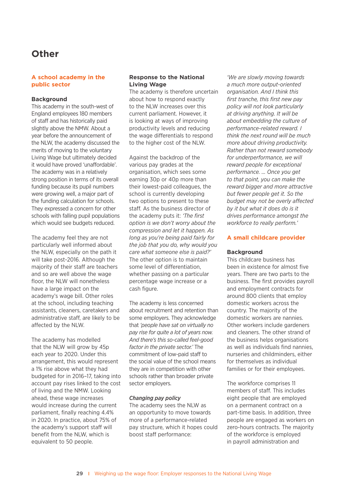### **Other**

#### **A school academy in the public sector**

#### **Background**

This academy in the south-west of England employees 180 members of staff and has historically paid slightly above the NMW. About a year before the announcement of the NLW, the academy discussed the merits of moving to the voluntary Living Wage but ultimately decided it would have proved 'unaffordable'. The academy was in a relatively strong position in terms of its overall funding because its pupil numbers were growing well, a major part of the funding calculation for schools. They expressed a concern for other schools with falling pupil populations which would see budgets reduced.

The academy feel they are not particularly well informed about the NLW, especially on the path it will take post-2016. Although the majority of their staff are teachers and so are well above the wage floor, the NLW will nonetheless have a large impact on the academy's wage bill. Other roles at the school, including teaching assistants, cleaners, caretakers and administrative staff, are likely to be affected by the NLW.

The academy has modelled that the NLW will grow by 45p each year to 2020. Under this arrangement, this would represent a 1% rise above what they had budgeted for in 2016–17, taking into account pay rises linked to the cost of living and the NMW. Looking ahead, these wage increases would increase during the current parliament, finally reaching 4.4% in 2020. In practice, about 75% of the academy's support staff will benefit from the NLW, which is equivalent to 50 people.

#### **Response to the National Living Wage**

The academy is therefore uncertain about how to respond exactly to the NLW increases over this current parliament. However, it is looking at ways of improving productivity levels and reducing the wage differentials to respond to the higher cost of the NLW.

Against the backdrop of the various pay grades at the organisation, which sees some earning 30p or 40p more than their lowest-paid colleagues, the school is currently developing two options to present to these staff. As the business director of the academy puts it: *'The first option is we don't worry about the compression and let it happen. As long as you're being paid fairly for the job that you do, why would you care what someone else is paid?'* The other option is to maintain some level of differentiation, whether passing on a particular percentage wage increase or a cash figure.

The academy is less concerned about recruitment and retention than some employers. They acknowledge that *'people have sat on virtually no pay rise for quite a lot of years now. And there's this so-called feel-good factor in the private sector.'* The commitment of low-paid staff to the social value of the school means they are in competition with other schools rather than broader private sector employers.

#### *Changing pay policy*

The academy sees the NLW as an opportunity to move towards more of a performance-related pay structure, which it hopes could boost staff performance:

*'We are slowly moving towards a much more output-oriented organisation. And I think this first tranche, this first new pay policy will not look particularly at driving anything. It will be about embedding the culture of performance-related reward. I think the next round will be much more about driving productivity. Rather than not reward somebody for underperformance, we will reward people for exceptional performance. … Once you get to that point, you can make the reward bigger and more attractive but fewer people get it. So the budget may not be overly affected by it but what it does do is it drives performance amongst the workforce to really perform.'*

#### **A small childcare provider**

#### **Background**

This childcare business has been in existence for almost five years. There are two parts to the business. The first provides payroll and employment contracts for around 800 clients that employ domestic workers across the country. The majority of the domestic workers are nannies. Other workers include gardeners and cleaners. The other strand of the business helps organisations as well as individuals find nannies, nurseries and childminders, either for themselves as individual families or for their employees.

The workforce comprises 11 members of staff. This includes eight people that are employed on a permanent contract on a part-time basis. In addition, three people are engaged as workers on zero-hours contracts. The majority of the workforce is employed in payroll administration and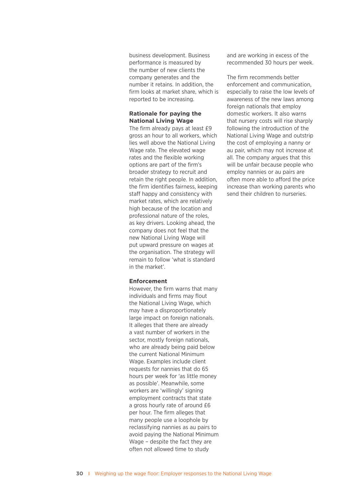business development. Business performance is measured by the number of new clients the company generates and the number it retains. In addition, the firm looks at market share, which is reported to be increasing.

#### **Rationale for paying the National Living Wage**

The firm already pays at least £9 gross an hour to all workers, which lies well above the National Living Wage rate. The elevated wage rates and the flexible working options are part of the firm's broader strategy to recruit and retain the right people. In addition, the firm identifies fairness, keeping staff happy and consistency with market rates, which are relatively high because of the location and professional nature of the roles, as key drivers. Looking ahead, the company does not feel that the new National Living Wage will put upward pressure on wages at the organisation. The strategy will remain to follow 'what is standard in the market'.

#### **Enforcement**

However, the firm warns that many individuals and firms may flout the National Living Wage, which may have a disproportionately large impact on foreign nationals. It alleges that there are already a vast number of workers in the sector, mostly foreign nationals, who are already being paid below the current National Minimum Wage. Examples include client requests for nannies that do 65 hours per week for 'as little money as possible'. Meanwhile, some workers are 'willingly' signing employment contracts that state a gross hourly rate of around £6 per hour. The firm alleges that many people use a loophole by reclassifying nannies as au pairs to avoid paying the National Minimum Wage – despite the fact they are often not allowed time to study

and are working in excess of the recommended 30 hours per week.

The firm recommends better enforcement and communication, especially to raise the low levels of awareness of the new laws among foreign nationals that employ domestic workers. It also warns that nursery costs will rise sharply following the introduction of the National Living Wage and outstrip the cost of employing a nanny or au pair, which may not increase at all. The company argues that this will be unfair because people who employ nannies or au pairs are often more able to afford the price increase than working parents who send their children to nurseries.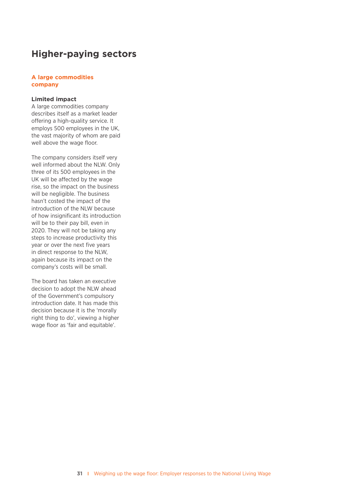### **Higher-paying sectors**

#### **A large commodities company**

#### **Limited impact**

A large commodities company describes itself as a market leader offering a high-quality service. It employs 500 employees in the UK, the vast majority of whom are paid well above the wage floor.

The company considers itself very well informed about the NLW. Only three of its 500 employees in the UK will be affected by the wage rise, so the impact on the business will be negligible. The business hasn't costed the impact of the introduction of the NLW because of how insignificant its introduction will be to their pay bill, even in 2020. They will not be taking any steps to increase productivity this year or over the next five years in direct response to the NLW, again because its impact on the company's costs will be small.

The board has taken an executive decision to adopt the NLW ahead of the Government's compulsory introduction date. It has made this decision because it is the 'morally right thing to do', viewing a higher wage floor as 'fair and equitable'.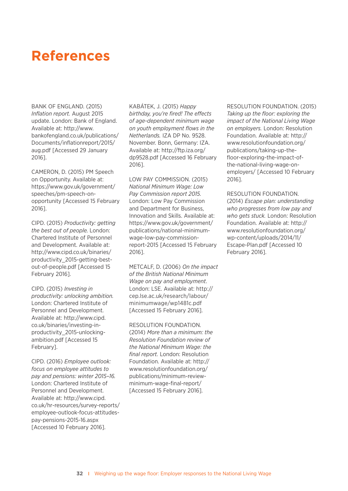## **References**

BANK OF ENGLAND. (2015) *Inflation report.* August 2015 update. London: Bank of England. Available at: http://www. bankofengland.co.uk/publications/ Documents/inflationreport/2015/ aug.pdf [Accessed 29 January 2016].

CAMERON, D. (2015) PM Speech on Opportunity. Available at: https://www.gov.uk/government/ speeches/pm-speech-onopportunity [Accessed 15 February 2016].

CIPD. (2015) *Productivity: getting the best out of people.* London: Chartered Institute of Personnel and Development. Available at: http://www.cipd.co.uk/binaries/ productivity\_2015-getting-bestout-of-people.pdf [Accessed 15 February 2016].

CIPD. (2015) *Investing in productivity: unlocking ambition.* London: Chartered Institute of Personnel and Development. Available at: http://www.cipd. co.uk/binaries/investing-inproductivity\_2015-unlockingambition.pdf [Accessed 15 February].

CIPD. (2016) *Employee outlook: focus on employee attitudes to pay and pensions: winter 2015–16.*  London: Chartered Institute of Personnel and Development. Available at: http://www.cipd. co.uk/hr-resources/survey-reports/ employee-outlook-focus-attitudespay-pensions-2015-16.aspx [Accessed 10 February 2016].

KABÁTEK, J. (2015) *Happy birthday, you're fired! The effects of age-dependent minimum wage on youth employment flows in the Netherlands.* IZA DP No. 9528. November. Bonn, Germany: IZA. Available at: http://ftp.iza.org/ dp9528.pdf [Accessed 16 February 2016].

LOW PAY COMMISSION. (2015) *National Minimum Wage: Low Pay Commission report 2015.*  London: Low Pay Commission and Department for Business, Innovation and Skills. Available at: https://www.gov.uk/government/ publications/national-minimumwage-low-pay-commissionreport-2015 [Accessed 15 February 2016].

METCALF, D. (2006) *On the impact of the British National Minimum Wage on pay and employment*. London: LSE. Available at: http:// cep.lse.ac.uk/research/labour/ minimumwage/wp1481c.pdf [Accessed 15 February 2016].

#### RESOLUTION FOUNDATION.

(2014) *More than a minimum: the Resolution Foundation review of the National Minimum Wage: the final report.* London: Resolution Foundation. Available at: http:// www.resolutionfoundation.org/ publications/minimum-reviewminimum-wage-final-report/ [Accessed 15 February 2016].

RESOLUTION FOUNDATION. (2015) *Taking up the floor: exploring the impact of the National Living Wage on employers.* London: Resolution Foundation. Available at: http:// www.resolutionfoundation.org/ publications/taking-up-thefloor-exploring-the-impact-ofthe-national-living-wage-onemployers/ [Accessed 10 February 2016].

RESOLUTION FOUNDATION. (2014) *Escape plan: understanding who progresses from low pay and who gets stuck.* London: Resolution Foundation. Available at: http:// www.resolutionfoundation.org/ wp-content/uploads/2014/11/ Escape-Plan.pdf [Accessed 10 February 2016].